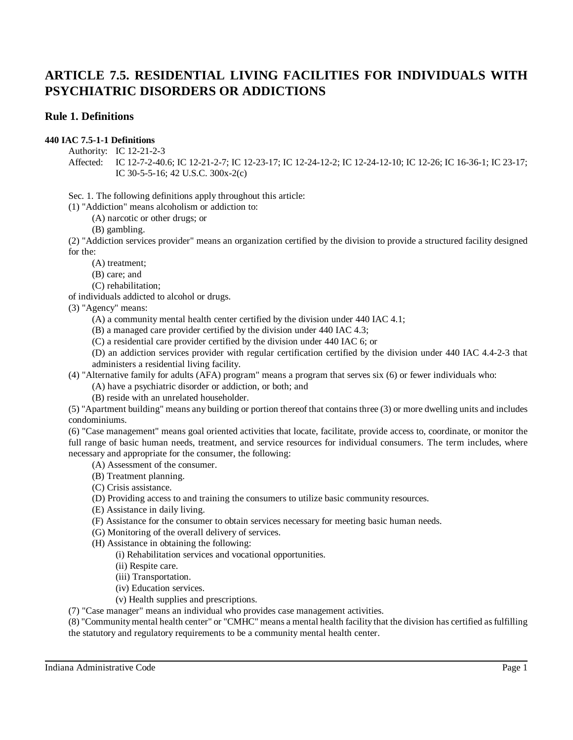# **Rule 1. Definitions**

# **440 IAC 7.5-1-1 Definitions**

Authority: IC 12-21-2-3

Affected: IC 12-7-2-40.6; IC 12-21-2-7; IC 12-23-17; IC 12-24-12-2; IC 12-24-12-10; IC 12-26; IC 16-36-1; IC 23-17; IC 30-5-5-16; 42 U.S.C. 300x-2(c)

Sec. 1. The following definitions apply throughout this article:

(1) "Addiction" means alcoholism or addiction to:

(A) narcotic or other drugs; or

(B) gambling.

(2) "Addiction services provider" means an organization certified by the division to provide a structured facility designed for the:

(A) treatment;

- (B) care; and
- (C) rehabilitation;

of individuals addicted to alcohol or drugs.

(3) "Agency" means:

- (A) a community mental health center certified by the division under 440 IAC 4.1;
- (B) a managed care provider certified by the division under 440 IAC 4.3;
- (C) a residential care provider certified by the division under 440 IAC 6; or

(D) an addiction services provider with regular certification certified by the division under 440 IAC 4.4-2-3 that administers a residential living facility.

(4) "Alternative family for adults (AFA) program" means a program that serves six (6) or fewer individuals who:

(A) have a psychiatric disorder or addiction, or both; and

(B) reside with an unrelated householder.

(5) "Apartment building" means any building or portion thereof that contains three (3) or more dwelling units and includes condominiums.

(6) "Case management" means goal oriented activities that locate, facilitate, provide access to, coordinate, or monitor the full range of basic human needs, treatment, and service resources for individual consumers. The term includes, where necessary and appropriate for the consumer, the following:

(A) Assessment of the consumer.

- (B) Treatment planning.
- (C) Crisis assistance.
- (D) Providing access to and training the consumers to utilize basic community resources.
- (E) Assistance in daily living.
- (F) Assistance for the consumer to obtain services necessary for meeting basic human needs.
- (G) Monitoring of the overall delivery of services.

(H) Assistance in obtaining the following:

(i) Rehabilitation services and vocational opportunities.

(ii) Respite care.

(iii) Transportation.

- (iv) Education services.
- (v) Health supplies and prescriptions.

(7) "Case manager" means an individual who provides case management activities.

(8) "Community mental health center" or "CMHC" means a mental health facility that the division has certified as fulfilling the statutory and regulatory requirements to be a community mental health center.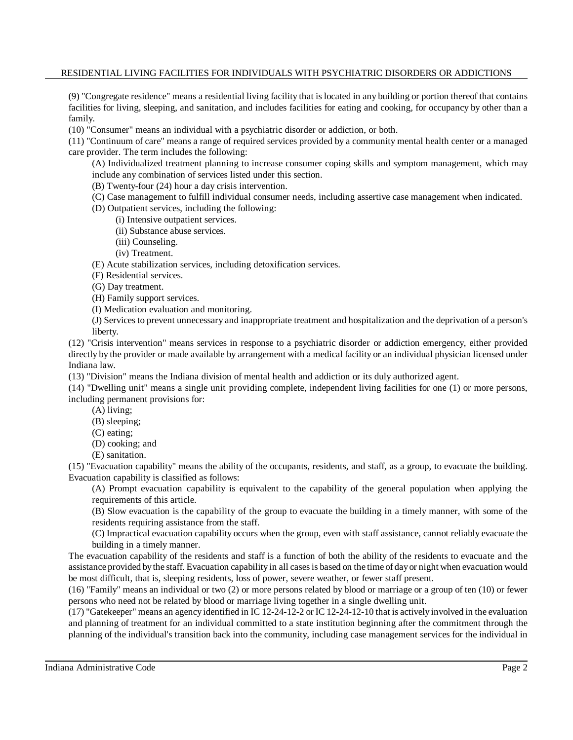(9) "Congregate residence" means a residential living facility that is located in any building or portion thereof that contains facilities for living, sleeping, and sanitation, and includes facilities for eating and cooking, for occupancy by other than a family.

(10) "Consumer" means an individual with a psychiatric disorder or addiction, or both.

(11) "Continuum of care" means a range of required services provided by a community mental health center or a managed care provider. The term includes the following:

(A) Individualized treatment planning to increase consumer coping skills and symptom management, which may include any combination of services listed under this section.

(B) Twenty-four (24) hour a day crisis intervention.

(C) Case management to fulfill individual consumer needs, including assertive case management when indicated.

(D) Outpatient services, including the following:

- (i) Intensive outpatient services.
- (ii) Substance abuse services.
- (iii) Counseling.
- (iv) Treatment.

(E) Acute stabilization services, including detoxification services.

- (F) Residential services.
- (G) Day treatment.

(H) Family support services.

(I) Medication evaluation and monitoring.

(J) Services to prevent unnecessary and inappropriate treatment and hospitalization and the deprivation of a person's liberty.

(12) "Crisis intervention" means services in response to a psychiatric disorder or addiction emergency, either provided directly by the provider or made available by arrangement with a medical facility or an individual physician licensed under Indiana law.

(13) "Division" means the Indiana division of mental health and addiction or its duly authorized agent.

(14) "Dwelling unit" means a single unit providing complete, independent living facilities for one (1) or more persons, including permanent provisions for:

(A) living;

- (B) sleeping;
- (C) eating;
- (D) cooking; and

(E) sanitation.

(15) "Evacuation capability" means the ability of the occupants, residents, and staff, as a group, to evacuate the building. Evacuation capability is classified as follows:

(A) Prompt evacuation capability is equivalent to the capability of the general population when applying the requirements of this article.

(B) Slow evacuation is the capability of the group to evacuate the building in a timely manner, with some of the residents requiring assistance from the staff.

(C) Impractical evacuation capability occurs when the group, even with staff assistance, cannot reliably evacuate the building in a timely manner.

The evacuation capability of the residents and staff is a function of both the ability of the residents to evacuate and the assistance provided bythe staff. Evacuation capability in all casesis based on the time of dayor night when evacuation would be most difficult, that is, sleeping residents, loss of power, severe weather, or fewer staff present.

(16) "Family" means an individual or two (2) or more persons related by blood or marriage or a group of ten (10) or fewer persons who need not be related by blood or marriage living together in a single dwelling unit.

(17) "Gatekeeper" means an agency identified in IC 12-24-12-2 or IC 12-24-12-10 that is actively involved in the evaluation and planning of treatment for an individual committed to a state institution beginning after the commitment through the planning of the individual's transition back into the community, including case management services for the individual in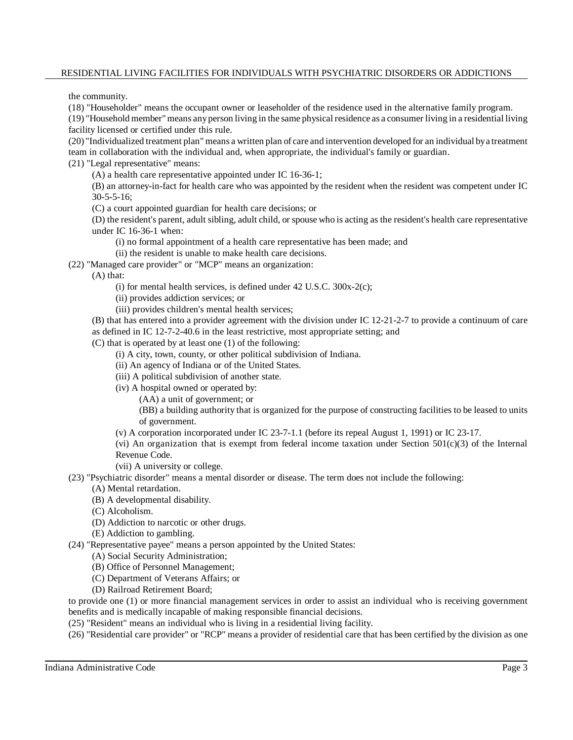the community.

(18) "Householder" means the occupant owner or leaseholder of the residence used in the alternative family program.

(19) "Household member"means anyperson living in the same physical residence as a consumer living in a residential living facility licensed or certified under this rule.

(20) "Individualized treatment plan" means a written plan of care and intervention developed for an individual bya treatment team in collaboration with the individual and, when appropriate, the individual's family or guardian.

(21) "Legal representative" means:

(A) a health care representative appointed under IC 16-36-1;

(B) an attorney-in-fact for health care who was appointed by the resident when the resident was competent under IC 30-5-5-16;

(C) a court appointed guardian for health care decisions; or

(D) the resident's parent, adult sibling, adult child, or spouse who is acting as the resident's health care representative under IC 16-36-1 when:

- (i) no formal appointment of a health care representative has been made; and
- (ii) the resident is unable to make health care decisions.
- (22) "Managed care provider" or "MCP" means an organization:

(A) that:

- (i) for mental health services, is defined under 42 U.S.C. 300x-2(c);
- (ii) provides addiction services; or
- (iii) provides children's mental health services;

(B) that has entered into a provider agreement with the division under IC 12-21-2-7 to provide a continuum of care as defined in IC 12-7-2-40.6 in the least restrictive, most appropriate setting; and

(C) that is operated by at least one (1) of the following:

- (i) A city, town, county, or other political subdivision of Indiana.
- (ii) An agency of Indiana or of the United States.
- (iii) A political subdivision of another state.
- (iv) A hospital owned or operated by:

(AA) a unit of government; or

(BB) a building authority that is organized for the purpose of constructing facilities to be leased to units of government.

(v) A corporation incorporated under IC 23-7-1.1 (before its repeal August 1, 1991) or IC 23-17.

(vi) An organization that is exempt from federal income taxation under Section  $501(c)(3)$  of the Internal Revenue Code.

(vii) A university or college.

(23) "Psychiatric disorder" means a mental disorder or disease. The term does not include the following:

- (A) Mental retardation.
- (B) A developmental disability.
- (C) Alcoholism.
- (D) Addiction to narcotic or other drugs.
- (E) Addiction to gambling.
- (24) "Representative payee" means a person appointed by the United States:
	- (A) Social Security Administration;
	- (B) Office of Personnel Management;
	- (C) Department of Veterans Affairs; or
	- (D) Railroad Retirement Board;

to provide one (1) or more financial management services in order to assist an individual who is receiving government benefits and is medically incapable of making responsible financial decisions.

- (25) "Resident" means an individual who is living in a residential living facility.
- (26) "Residential care provider" or "RCP" means a provider of residential care that has been certified by the division as one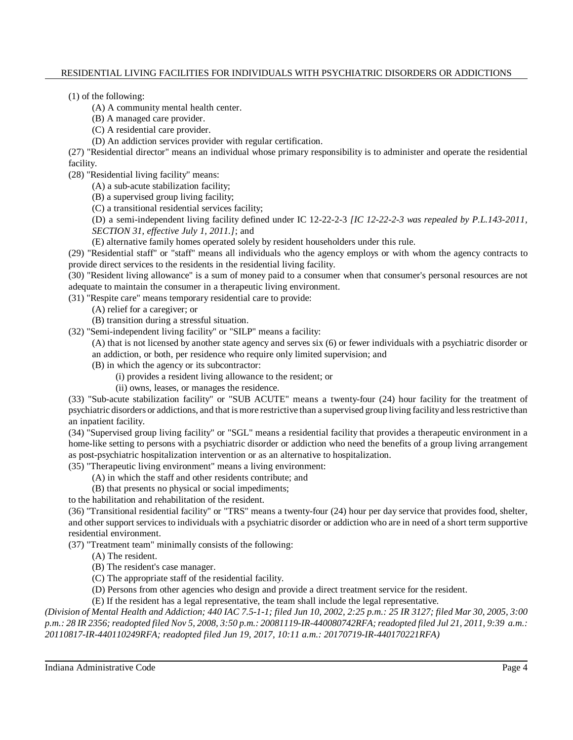(1) of the following:

(A) A community mental health center.

(B) A managed care provider.

(C) A residential care provider.

(D) An addiction services provider with regular certification.

(27) "Residential director" means an individual whose primary responsibility is to administer and operate the residential facility.

(28) "Residential living facility" means:

(A) a sub-acute stabilization facility;

(B) a supervised group living facility;

(C) a transitional residential services facility;

(D) a semi-independent living facility defined under IC 12-22-2-3 *[IC 12-22-2-3 was repealed by P.L.143-2011, SECTION 31, effective July 1, 2011.]*; and

(E) alternative family homes operated solely by resident householders under this rule.

(29) "Residential staff" or "staff" means all individuals who the agency employs or with whom the agency contracts to provide direct services to the residents in the residential living facility.

(30) "Resident living allowance" is a sum of money paid to a consumer when that consumer's personal resources are not adequate to maintain the consumer in a therapeutic living environment.

(31) "Respite care" means temporary residential care to provide:

- (A) relief for a caregiver; or
- (B) transition during a stressful situation.

(32) "Semi-independent living facility" or "SILP" means a facility:

(A) that is not licensed by another state agency and serves six (6) or fewer individuals with a psychiatric disorder or an addiction, or both, per residence who require only limited supervision; and

- (B) in which the agency or its subcontractor:
	- (i) provides a resident living allowance to the resident; or
	- (ii) owns, leases, or manages the residence.

(33) "Sub-acute stabilization facility" or "SUB ACUTE" means a twenty-four (24) hour facility for the treatment of psychiatric disorders or addictions, and that is more restrictive than a supervised group living facilityand lessrestrictive than an inpatient facility.

(34) "Supervised group living facility" or "SGL" means a residential facility that provides a therapeutic environment in a home-like setting to persons with a psychiatric disorder or addiction who need the benefits of a group living arrangement as post-psychiatric hospitalization intervention or as an alternative to hospitalization.

(35) "Therapeutic living environment" means a living environment:

(A) in which the staff and other residents contribute; and

(B) that presents no physical or social impediments;

to the habilitation and rehabilitation of the resident.

(36) "Transitional residential facility" or "TRS" means a twenty-four (24) hour per day service that provides food, shelter, and other support services to individuals with a psychiatric disorder or addiction who are in need of a short term supportive residential environment.

(37) "Treatment team" minimally consists of the following:

(A) The resident.

(B) The resident's case manager.

- (C) The appropriate staff of the residential facility.
- (D) Persons from other agencies who design and provide a direct treatment service for the resident.

(E) If the resident has a legal representative, the team shall include the legal representative.

(Division of Mental Health and Addiction; 440 IAC 7.5-1-1; filed Jun 10, 2002, 2:25 p.m.: 25 IR 3127; filed Mar 30, 2005, 3:00 p.m.: 28 IR 2356; readopted filed Nov 5, 2008, 3:50 p.m.: 20081119-IR-440080742RFA; readopted filed Jul 21, 2011, 9:39 a.m.: *20110817-IR-440110249RFA; readopted filed Jun 19, 2017, 10:11 a.m.: 20170719-IR-440170221RFA)*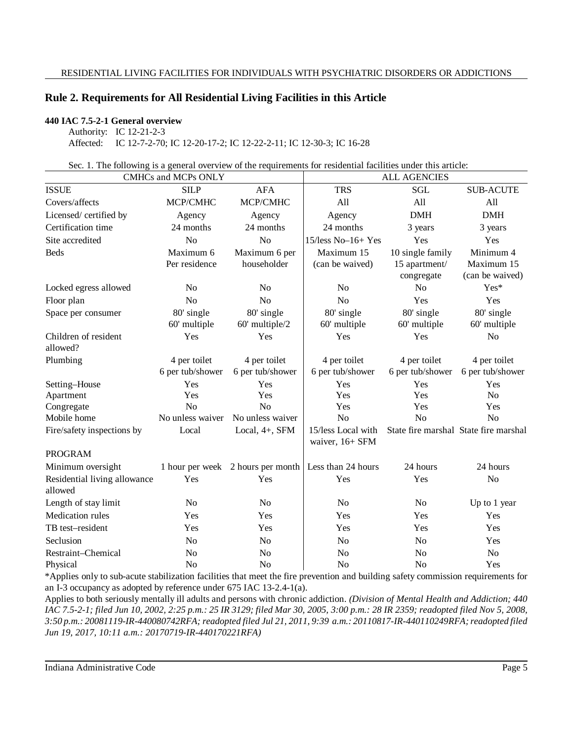# **Rule 2. Requirements for All Residential Living Facilities in this Article**

# **440 IAC 7.5-2-1 General overview**

Authority: IC 12-21-2-3 Affected: IC 12-7-2-70; IC 12-20-17-2; IC 12-22-2-11; IC 12-30-3; IC 16-28

Sec. 1. The following is a general overview of the requirements for residential facilities under this article:

| <b>CMHCs and MCPs ONLY</b>              |                  |                   | <b>ALL AGENCIES</b>                                    |                  |                                       |
|-----------------------------------------|------------------|-------------------|--------------------------------------------------------|------------------|---------------------------------------|
| <b>ISSUE</b>                            | <b>SILP</b>      | <b>AFA</b>        | <b>TRS</b>                                             | <b>SGL</b>       | <b>SUB-ACUTE</b>                      |
| Covers/affects                          | MCP/CMHC         | MCP/CMHC          | All                                                    | All              | All                                   |
| Licensed/certified by                   | Agency           | Agency            | Agency                                                 | $DMH$            | <b>DMH</b>                            |
| Certification time                      | 24 months        | 24 months         | 24 months                                              | 3 years          | 3 years                               |
| Site accredited                         | N <sub>o</sub>   | N <sub>o</sub>    | $15$ /less No-16+ Yes                                  | Yes              | Yes                                   |
| <b>Beds</b>                             | Maximum 6        | Maximum 6 per     | Maximum 15                                             | 10 single family | Minimum 4                             |
|                                         | Per residence    | householder       | (can be waived)                                        | 15 apartment/    | Maximum 15                            |
|                                         |                  |                   |                                                        | congregate       | (can be waived)                       |
| Locked egress allowed                   | N <sub>o</sub>   | N <sub>o</sub>    | N <sub>o</sub>                                         | N <sub>o</sub>   | Yes*                                  |
| Floor plan                              | No               | N <sub>o</sub>    | N <sub>o</sub>                                         | Yes              | Yes                                   |
| Space per consumer                      | 80' single       | 80' single        | 80' single                                             | 80' single       | 80' single                            |
|                                         | 60' multiple     | 60' multiple/2    | 60' multiple                                           | 60' multiple     | 60' multiple                          |
| Children of resident                    | Yes              | Yes               | Yes                                                    | Yes              | No                                    |
| allowed?                                |                  |                   |                                                        |                  |                                       |
| Plumbing                                | 4 per toilet     | 4 per toilet      | 4 per toilet                                           | 4 per toilet     | 4 per toilet                          |
|                                         | 6 per tub/shower | 6 per tub/shower  | 6 per tub/shower                                       | 6 per tub/shower | 6 per tub/shower                      |
| Setting-House                           | Yes              | Yes               | Yes                                                    | Yes              | Yes                                   |
| Apartment                               | Yes              | Yes               | Yes                                                    | Yes              | N <sub>o</sub>                        |
| Congregate                              | N <sub>o</sub>   | N <sub>o</sub>    | Yes                                                    | Yes              | Yes                                   |
| Mobile home                             | No unless waiver | No unless waiver  | N <sub>o</sub>                                         | N <sub>o</sub>   | N <sub>o</sub>                        |
| Fire/safety inspections by              | Local            | Local, $4+$ , SFM | 15/less Local with                                     |                  | State fire marshal State fire marshal |
|                                         |                  |                   | waiver, 16+ SFM                                        |                  |                                       |
| <b>PROGRAM</b>                          |                  |                   |                                                        |                  |                                       |
| Minimum oversight                       |                  |                   | 1 hour per week 2 hours per month   Less than 24 hours | 24 hours         | 24 hours                              |
| Residential living allowance<br>allowed | Yes              | Yes               | Yes                                                    | Yes              | N <sub>o</sub>                        |
|                                         |                  |                   |                                                        |                  |                                       |
| Length of stay limit                    | N <sub>0</sub>   | N <sub>o</sub>    | N <sub>o</sub>                                         | N <sub>o</sub>   | Up to 1 year                          |
| Medication rules                        | Yes              | Yes               | Yes                                                    | Yes              | Yes                                   |
| TB test-resident                        | Yes              | Yes               | Yes                                                    | Yes              | Yes                                   |
| Seclusion                               | N <sub>0</sub>   | No                | N <sub>o</sub>                                         | No               | Yes                                   |
| Restraint-Chemical                      | N <sub>o</sub>   | N <sub>o</sub>    | N <sub>o</sub>                                         | N <sub>o</sub>   | N <sub>o</sub>                        |
| Physical                                | N <sub>o</sub>   | N <sub>o</sub>    | N <sub>o</sub>                                         | N <sub>o</sub>   | Yes                                   |

\*Applies only to sub-acute stabilization facilities that meet the fire prevention and building safety commission requirements for an I-3 occupancy as adopted by reference under 675 IAC 13-2.4-1(a).

Applies to both seriously mentally ill adults and persons with chronic addiction. *(Division of Mental Health and Addiction; 440* IAC 7.5-2-1; filed Jun 10, 2002, 2:25 p.m.: 25 IR 3129; filed Mar 30, 2005, 3:00 p.m.: 28 IR 2359; readopted filed Nov 5, 2008, *3:50 p.m.: 20081119-IR-440080742RFA; readopted filed Jul 21, 2011, 9:39 a.m.: 20110817-IR-440110249RFA; readopted filed Jun 19, 2017, 10:11 a.m.: 20170719-IR-440170221RFA)*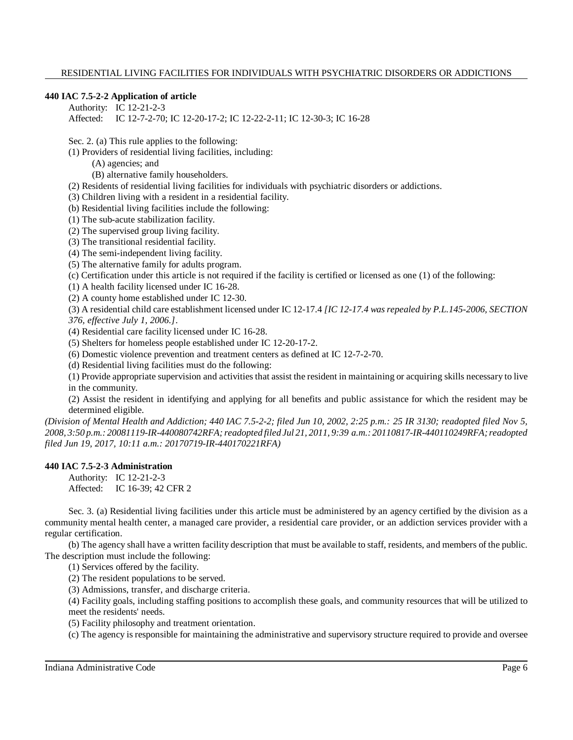# **440 IAC 7.5-2-2 Application of article**

Authority: IC 12-21-2-3 Affected: IC 12-7-2-70; IC 12-20-17-2; IC 12-22-2-11; IC 12-30-3; IC 16-28

Sec. 2. (a) This rule applies to the following:

(1) Providers of residential living facilities, including:

(A) agencies; and

(B) alternative family householders.

(2) Residents of residential living facilities for individuals with psychiatric disorders or addictions.

(3) Children living with a resident in a residential facility.

(b) Residential living facilities include the following:

(1) The sub-acute stabilization facility.

(2) The supervised group living facility.

(3) The transitional residential facility.

(4) The semi-independent living facility.

(5) The alternative family for adults program.

(c) Certification under this article is not required if the facility is certified or licensed as one (1) of the following:

(1) A health facility licensed under IC 16-28.

(2) A county home established under IC 12-30.

(3) A residential child care establishment licensed under IC 12-17.4 *[IC 12-17.4 was repealed by P.L.145-2006, SECTION 376, effective July 1, 2006.]*.

(4) Residential care facility licensed under IC 16-28.

(5) Shelters for homeless people established under IC 12-20-17-2.

(6) Domestic violence prevention and treatment centers as defined at IC 12-7-2-70.

(d) Residential living facilities must do the following:

(1) Provide appropriate supervision and activities that assist the resident in maintaining or acquiring skills necessary to live in the community.

(2) Assist the resident in identifying and applying for all benefits and public assistance for which the resident may be determined eligible.

*(Division of Mental Health and Addiction; 440 IAC 7.5-2-2; filed Jun 10, 2002, 2:25 p.m.: 25 IR 3130; readopted filed Nov 5, 2008, 3:50 p.m.: 20081119-IR-440080742RFA;readopted filed Jul 21, 2011, 9:39 a.m.: 20110817-IR-440110249RFA; readopted filed Jun 19, 2017, 10:11 a.m.: 20170719-IR-440170221RFA)*

#### **440 IAC 7.5-2-3 Administration**

Authority: IC 12-21-2-3 Affected: IC 16-39; 42 CFR 2

Sec. 3. (a) Residential living facilities under this article must be administered by an agency certified by the division as a community mental health center, a managed care provider, a residential care provider, or an addiction services provider with a regular certification.

(b) The agency shall have a written facility description that must be available to staff, residents, and members of the public. The description must include the following:

(1) Services offered by the facility.

(2) The resident populations to be served.

(3) Admissions, transfer, and discharge criteria.

(4) Facility goals, including staffing positions to accomplish these goals, and community resources that will be utilized to meet the residents' needs.

(5) Facility philosophy and treatment orientation.

(c) The agency is responsible for maintaining the administrative and supervisory structure required to provide and oversee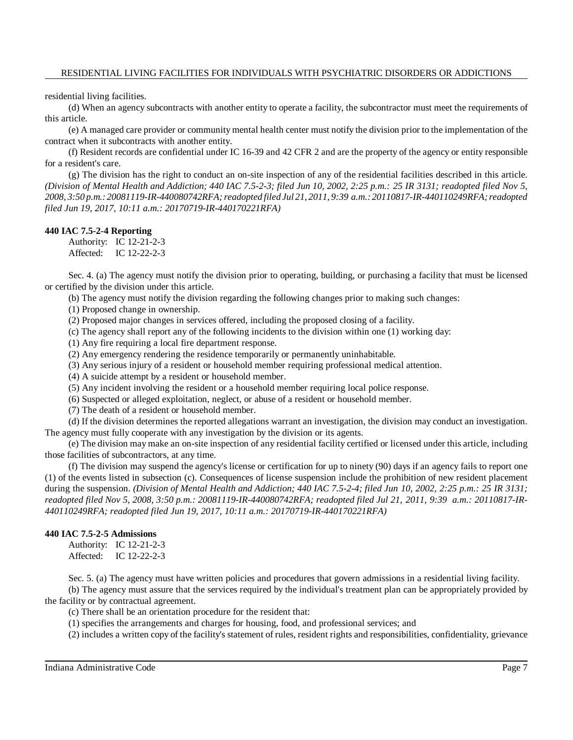residential living facilities.

(d) When an agency subcontracts with another entity to operate a facility, the subcontractor must meet the requirements of this article.

(e) A managed care provider or community mental health center must notify the division prior to the implementation of the contract when it subcontracts with another entity.

(f) Resident records are confidential under IC 16-39 and 42 CFR 2 and are the property of the agency or entity responsible for a resident's care.

(g) The division has the right to conduct an on-site inspection of any of the residential facilities described in this article. *(Division of Mental Health and Addiction; 440 IAC 7.5-2-3; filed Jun 10, 2002, 2:25 p.m.: 25 IR 3131; readopted filed Nov 5, 2008, 3:50 p.m.: 20081119-IR-440080742RFA;readopted filed Jul 21, 2011, 9:39 a.m.: 20110817-IR-440110249RFA; readopted filed Jun 19, 2017, 10:11 a.m.: 20170719-IR-440170221RFA)*

#### **440 IAC 7.5-2-4 Reporting**

Authority: IC 12-21-2-3 Affected: IC 12-22-2-3

Sec. 4. (a) The agency must notify the division prior to operating, building, or purchasing a facility that must be licensed or certified by the division under this article.

(b) The agency must notify the division regarding the following changes prior to making such changes:

(1) Proposed change in ownership.

(2) Proposed major changes in services offered, including the proposed closing of a facility.

(c) The agency shall report any of the following incidents to the division within one (1) working day:

(1) Any fire requiring a local fire department response.

(2) Any emergency rendering the residence temporarily or permanently uninhabitable.

(3) Any serious injury of a resident or household member requiring professional medical attention.

(4) A suicide attempt by a resident or household member.

(5) Any incident involving the resident or a household member requiring local police response.

(6) Suspected or alleged exploitation, neglect, or abuse of a resident or household member.

(7) The death of a resident or household member.

(d) If the division determines the reported allegations warrant an investigation, the division may conduct an investigation. The agency must fully cooperate with any investigation by the division or its agents.

(e) The division may make an on-site inspection of any residential facility certified or licensed under this article, including those facilities of subcontractors, at any time.

(f) The division may suspend the agency's license or certification for up to ninety (90) days if an agency fails to report one (1) of the events listed in subsection (c). Consequences of license suspension include the prohibition of new resident placement during the suspension. *(Division of Mental Health and Addiction; 440 IAC 7.5-2-4; filed Jun 10, 2002, 2:25 p.m.: 25 IR 3131; readopted filed Nov 5, 2008, 3:50 p.m.: 20081119-IR-440080742RFA; readopted filed Jul 21, 2011, 9:39 a.m.: 20110817-IR-440110249RFA; readopted filed Jun 19, 2017, 10:11 a.m.: 20170719-IR-440170221RFA)*

# **440 IAC 7.5-2-5 Admissions**

Authority: IC 12-21-2-3 Affected: IC 12-22-2-3

Sec. 5. (a) The agency must have written policies and procedures that govern admissions in a residential living facility.

(b) The agency must assure that the services required by the individual's treatment plan can be appropriately provided by the facility or by contractual agreement.

(c) There shall be an orientation procedure for the resident that:

(1) specifies the arrangements and charges for housing, food, and professional services; and

(2) includes a written copy of the facility's statement of rules, resident rights and responsibilities, confidentiality, grievance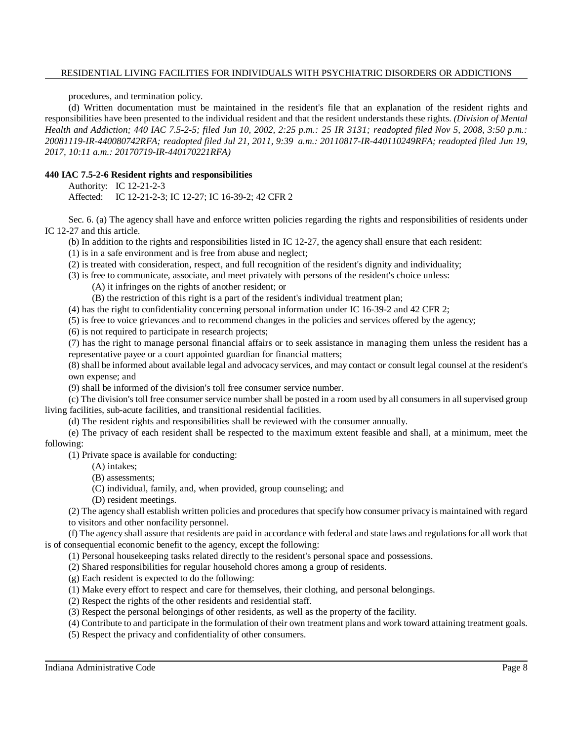procedures, and termination policy.

(d) Written documentation must be maintained in the resident's file that an explanation of the resident rights and responsibilities have been presented to the individual resident and that the resident understands these rights. *(Division of Mental Health and Addiction; 440 IAC 7.5-2-5; filed Jun 10, 2002, 2:25 p.m.: 25 IR 3131; readopted filed Nov 5, 2008, 3:50 p.m.: 20081119-IR-440080742RFA; readopted filed Jul 21, 2011, 9:39 a.m.: 20110817-IR-440110249RFA; readopted filed Jun 19, 2017, 10:11 a.m.: 20170719-IR-440170221RFA)*

# **440 IAC 7.5-2-6 Resident rights and responsibilities**

Authority: IC 12-21-2-3

Affected: IC 12-21-2-3; IC 12-27; IC 16-39-2; 42 CFR 2

Sec. 6. (a) The agency shall have and enforce written policies regarding the rights and responsibilities of residents under IC 12-27 and this article.

(b) In addition to the rights and responsibilities listed in IC 12-27, the agency shall ensure that each resident:

(1) is in a safe environment and is free from abuse and neglect;

(2) is treated with consideration, respect, and full recognition of the resident's dignity and individuality;

(3) is free to communicate, associate, and meet privately with persons of the resident's choice unless:

(A) it infringes on the rights of another resident; or

(B) the restriction of this right is a part of the resident's individual treatment plan;

(4) has the right to confidentiality concerning personal information under IC 16-39-2 and 42 CFR 2;

(5) is free to voice grievances and to recommend changes in the policies and services offered by the agency;

(6) is not required to participate in research projects;

(7) has the right to manage personal financial affairs or to seek assistance in managing them unless the resident has a representative payee or a court appointed guardian for financial matters;

(8) shall be informed about available legal and advocacy services, and may contact or consult legal counsel at the resident's own expense; and

(9) shall be informed of the division's toll free consumer service number.

(c) The division's toll free consumer service number shall be posted in a room used by all consumers in all supervised group living facilities, sub-acute facilities, and transitional residential facilities.

(d) The resident rights and responsibilities shall be reviewed with the consumer annually.

(e) The privacy of each resident shall be respected to the maximum extent feasible and shall, at a minimum, meet the following:

(1) Private space is available for conducting:

- (A) intakes;
- (B) assessments;
- (C) individual, family, and, when provided, group counseling; and
- (D) resident meetings.

(2) The agency shall establish written policies and procedures that specify how consumer privacy is maintained with regard to visitors and other nonfacility personnel.

(f) The agency shall assure that residents are paid in accordance with federal and state laws and regulationsfor all work that is of consequential economic benefit to the agency, except the following:

(1) Personal housekeeping tasks related directly to the resident's personal space and possessions.

(2) Shared responsibilities for regular household chores among a group of residents.

- (g) Each resident is expected to do the following:
- (1) Make every effort to respect and care for themselves, their clothing, and personal belongings.
- (2) Respect the rights of the other residents and residential staff.
- (3) Respect the personal belongings of other residents, as well as the property of the facility.
- (4) Contribute to and participate in the formulation of their own treatment plans and work toward attaining treatment goals.
- (5) Respect the privacy and confidentiality of other consumers.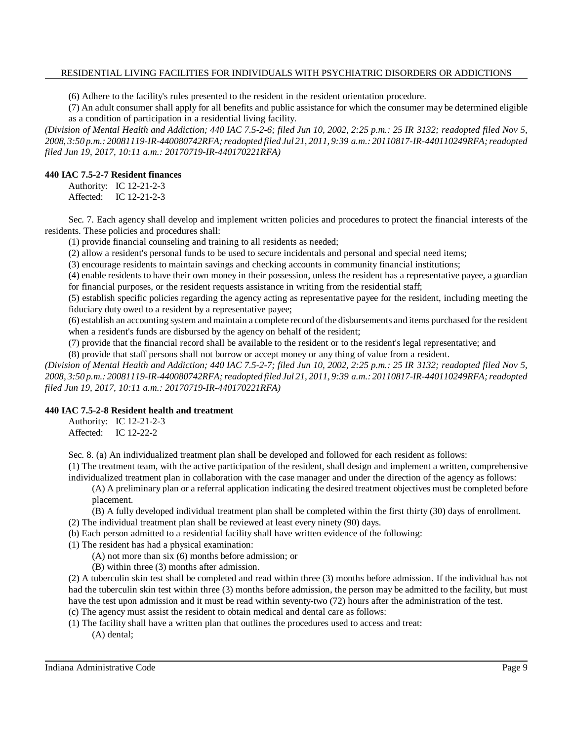(6) Adhere to the facility's rules presented to the resident in the resident orientation procedure.

(7) An adult consumer shall apply for all benefits and public assistance for which the consumer may be determined eligible as a condition of participation in a residential living facility.

*(Division of Mental Health and Addiction; 440 IAC 7.5-2-6; filed Jun 10, 2002, 2:25 p.m.: 25 IR 3132; readopted filed Nov 5, 2008, 3:50 p.m.: 20081119-IR-440080742RFA;readopted filed Jul 21, 2011, 9:39 a.m.: 20110817-IR-440110249RFA; readopted filed Jun 19, 2017, 10:11 a.m.: 20170719-IR-440170221RFA)*

#### **440 IAC 7.5-2-7 Resident finances**

Authority: IC 12-21-2-3 Affected: IC 12-21-2-3

Sec. 7. Each agency shall develop and implement written policies and procedures to protect the financial interests of the residents. These policies and procedures shall:

(1) provide financial counseling and training to all residents as needed;

(2) allow a resident's personal funds to be used to secure incidentals and personal and special need items;

(3) encourage residents to maintain savings and checking accounts in community financial institutions;

(4) enable residents to have their own money in their possession, unless the resident has a representative payee, a guardian for financial purposes, or the resident requests assistance in writing from the residential staff;

(5) establish specific policies regarding the agency acting as representative payee for the resident, including meeting the fiduciary duty owed to a resident by a representative payee;

(6) establish an accounting system and maintain a complete record ofthe disbursements and items purchased for the resident when a resident's funds are disbursed by the agency on behalf of the resident;

(7) provide that the financial record shall be available to the resident or to the resident's legal representative; and

(8) provide that staff persons shall not borrow or accept money or any thing of value from a resident.

*(Division of Mental Health and Addiction; 440 IAC 7.5-2-7; filed Jun 10, 2002, 2:25 p.m.: 25 IR 3132; readopted filed Nov 5, 2008, 3:50 p.m.: 20081119-IR-440080742RFA;readopted filed Jul 21, 2011, 9:39 a.m.: 20110817-IR-440110249RFA; readopted filed Jun 19, 2017, 10:11 a.m.: 20170719-IR-440170221RFA)*

# **440 IAC 7.5-2-8 Resident health and treatment**

Authority: IC 12-21-2-3 Affected: IC 12-22-2

Sec. 8. (a) An individualized treatment plan shall be developed and followed for each resident as follows:

(1) The treatment team, with the active participation of the resident, shall design and implement a written, comprehensive individualized treatment plan in collaboration with the case manager and under the direction of the agency as follows:

(A) A preliminary plan or a referral application indicating the desired treatment objectives must be completed before placement.

(B) A fully developed individual treatment plan shall be completed within the first thirty (30) days of enrollment.

- (2) The individual treatment plan shall be reviewed at least every ninety (90) days.
- (b) Each person admitted to a residential facility shall have written evidence of the following:
- (1) The resident has had a physical examination:
	- (A) not more than six (6) months before admission; or
	- (B) within three (3) months after admission.

(2) A tuberculin skin test shall be completed and read within three (3) months before admission. If the individual has not had the tuberculin skin test within three (3) months before admission, the person may be admitted to the facility, but must have the test upon admission and it must be read within seventy-two (72) hours after the administration of the test. (c) The agency must assist the resident to obtain medical and dental care as follows:

- (1) The facility shall have a written plan that outlines the procedures used to access and treat:
	- (A) dental;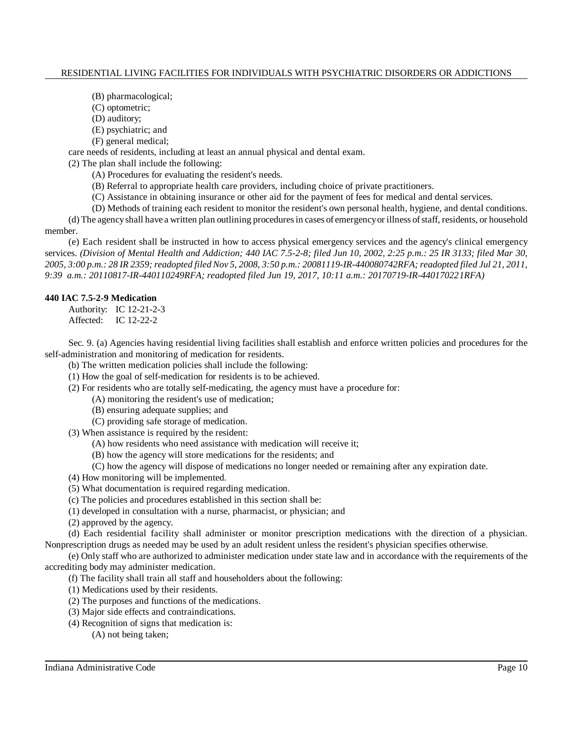- (B) pharmacological;
- (C) optometric;
- (D) auditory;
- (E) psychiatric; and
- (F) general medical;

care needs of residents, including at least an annual physical and dental exam.

(2) The plan shall include the following:

- (A) Procedures for evaluating the resident's needs.
- (B) Referral to appropriate health care providers, including choice of private practitioners.
- (C) Assistance in obtaining insurance or other aid for the payment of fees for medical and dental services.
- (D) Methods of training each resident to monitor the resident's own personal health, hygiene, and dental conditions.

(d) The agencyshall have a written plan outlining proceduresin cases of emergencyor illness ofstaff, residents, or household member.

(e) Each resident shall be instructed in how to access physical emergency services and the agency's clinical emergency services. *(Division of Mental Health and Addiction; 440 IAC 7.5-2-8; filed Jun 10, 2002, 2:25 p.m.: 25 IR 3133; filed Mar 30,* 2005, 3:00 p.m.: 28 IR 2359; readopted filed Nov 5, 2008, 3:50 p.m.: 20081119-IR-440080742RFA; readopted filed Jul 21, 2011, *9:39 a.m.: 20110817-IR-440110249RFA; readopted filed Jun 19, 2017, 10:11 a.m.: 20170719-IR-440170221RFA)*

# **440 IAC 7.5-2-9 Medication**

Authority: IC 12-21-2-3 Affected: IC 12-22-2

Sec. 9. (a) Agencies having residential living facilities shall establish and enforce written policies and procedures for the self-administration and monitoring of medication for residents.

(b) The written medication policies shall include the following:

- (1) How the goal of self-medication for residents is to be achieved.
- (2) For residents who are totally self-medicating, the agency must have a procedure for:
	- (A) monitoring the resident's use of medication;
	- (B) ensuring adequate supplies; and
	- (C) providing safe storage of medication.

(3) When assistance is required by the resident:

- (A) how residents who need assistance with medication will receive it;
- (B) how the agency will store medications for the residents; and
- (C) how the agency will dispose of medications no longer needed or remaining after any expiration date.
- (4) How monitoring will be implemented.
- (5) What documentation is required regarding medication.
- (c) The policies and procedures established in this section shall be:
- (1) developed in consultation with a nurse, pharmacist, or physician; and
- (2) approved by the agency.

(d) Each residential facility shall administer or monitor prescription medications with the direction of a physician. Nonprescription drugs as needed may be used by an adult resident unless the resident's physician specifies otherwise.

(e) Only staff who are authorized to administer medication under state law and in accordance with the requirements of the accrediting body may administer medication.

- (f) The facility shall train all staff and householders about the following:
- (1) Medications used by their residents.
- (2) The purposes and functions of the medications.
- (3) Major side effects and contraindications.
- (4) Recognition of signs that medication is:
	- (A) not being taken;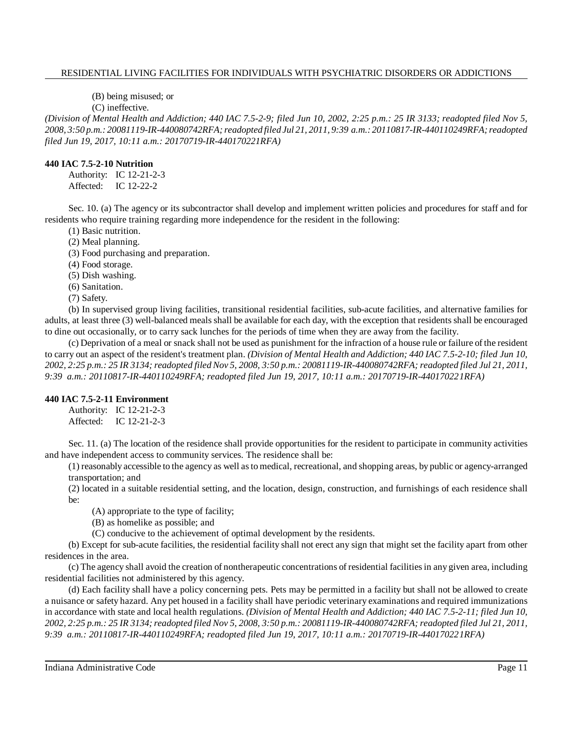(B) being misused; or

(C) ineffective.

*(Division of Mental Health and Addiction; 440 IAC 7.5-2-9; filed Jun 10, 2002, 2:25 p.m.: 25 IR 3133; readopted filed Nov 5, 2008, 3:50 p.m.: 20081119-IR-440080742RFA;readopted filed Jul 21, 2011, 9:39 a.m.: 20110817-IR-440110249RFA; readopted filed Jun 19, 2017, 10:11 a.m.: 20170719-IR-440170221RFA)*

# **440 IAC 7.5-2-10 Nutrition**

Authority: IC 12-21-2-3 Affected: IC 12-22-2

Sec. 10. (a) The agency or its subcontractor shall develop and implement written policies and procedures for staff and for residents who require training regarding more independence for the resident in the following:

(1) Basic nutrition.

(2) Meal planning.

(3) Food purchasing and preparation.

(4) Food storage.

(5) Dish washing.

(6) Sanitation.

(7) Safety.

(b) In supervised group living facilities, transitional residential facilities, sub-acute facilities, and alternative families for adults, at least three (3) well-balanced meals shall be available for each day, with the exception that residents shall be encouraged to dine out occasionally, or to carry sack lunches for the periods of time when they are away from the facility.

(c) Deprivation of a meal or snack shall not be used as punishment for the infraction of a house rule or failure of the resident to carry out an aspect of the resident's treatment plan. *(Division of Mental Health and Addiction; 440 IAC 7.5-2-10; filed Jun 10,* 2002, 2:25 p.m.: 25 IR 3134; readopted filed Nov 5, 2008, 3:50 p.m.: 20081119-IR-440080742RFA; readopted filed Jul 21, 2011, *9:39 a.m.: 20110817-IR-440110249RFA; readopted filed Jun 19, 2017, 10:11 a.m.: 20170719-IR-440170221RFA)*

# **440 IAC 7.5-2-11 Environment**

Authority: IC 12-21-2-3 Affected: IC 12-21-2-3

Sec. 11. (a) The location of the residence shall provide opportunities for the resident to participate in community activities and have independent access to community services. The residence shall be:

(1) reasonably accessible to the agency as well asto medical, recreational, and shopping areas, by public or agency-arranged transportation; and

(2) located in a suitable residential setting, and the location, design, construction, and furnishings of each residence shall be:

(A) appropriate to the type of facility;

(B) as homelike as possible; and

(C) conducive to the achievement of optimal development by the residents.

(b) Except for sub-acute facilities, the residential facility shall not erect any sign that might set the facility apart from other residences in the area.

(c) The agency shall avoid the creation of nontherapeutic concentrations of residential facilitiesin any given area, including residential facilities not administered by this agency.

(d) Each facility shall have a policy concerning pets. Pets may be permitted in a facility but shall not be allowed to create a nuisance or safety hazard. Any pet housed in a facility shall have periodic veterinary examinations and required immunizations in accordance with state and local health regulations. *(Division of Mental Health and Addiction; 440 IAC 7.5-2-11; filed Jun 10,* 2002, 2:25 p.m.: 25 IR 3134; readopted filed Nov 5, 2008, 3:50 p.m.: 20081119-IR-440080742RFA; readopted filed Jul 21, 2011, *9:39 a.m.: 20110817-IR-440110249RFA; readopted filed Jun 19, 2017, 10:11 a.m.: 20170719-IR-440170221RFA)*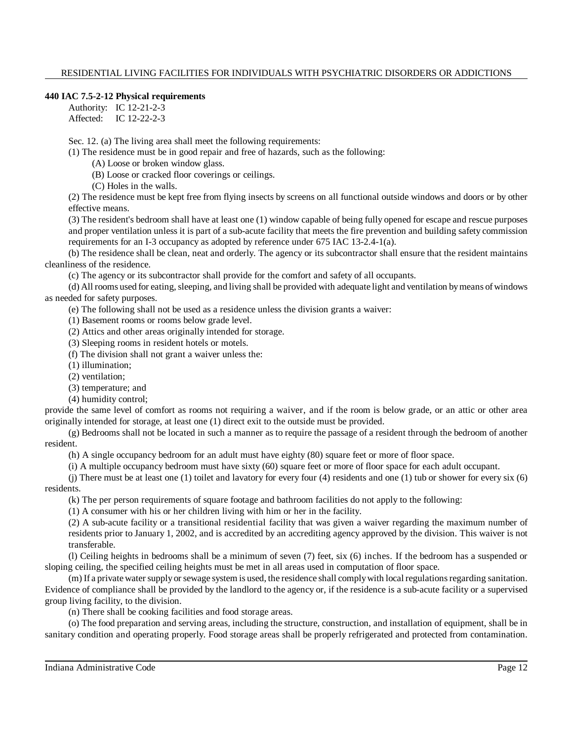#### **440 IAC 7.5-2-12 Physical requirements**

Authority: IC 12-21-2-3 Affected: IC 12-22-2-3

Sec. 12. (a) The living area shall meet the following requirements:

(1) The residence must be in good repair and free of hazards, such as the following:

(A) Loose or broken window glass.

(B) Loose or cracked floor coverings or ceilings.

(C) Holes in the walls.

(2) The residence must be kept free from flying insects by screens on all functional outside windows and doors or by other effective means.

(3) The resident's bedroom shall have at least one (1) window capable of being fully opened for escape and rescue purposes and proper ventilation unless it is part of a sub-acute facility that meets the fire prevention and building safety commission requirements for an I-3 occupancy as adopted by reference under 675 IAC 13-2.4-1(a).

(b) The residence shall be clean, neat and orderly. The agency or its subcontractor shall ensure that the resident maintains cleanliness of the residence.

(c) The agency or its subcontractor shall provide for the comfort and safety of all occupants.

(d) All rooms used for eating, sleeping, and living shall be provided with adequate light and ventilation by means of windows as needed for safety purposes.

(e) The following shall not be used as a residence unless the division grants a waiver:

(1) Basement rooms or rooms below grade level.

(2) Attics and other areas originally intended for storage.

(3) Sleeping rooms in resident hotels or motels.

(f) The division shall not grant a waiver unless the:

(1) illumination;

(2) ventilation;

(3) temperature; and

(4) humidity control;

provide the same level of comfort as rooms not requiring a waiver, and if the room is below grade, or an attic or other area originally intended for storage, at least one (1) direct exit to the outside must be provided.

(g) Bedrooms shall not be located in such a manner as to require the passage of a resident through the bedroom of another resident.

(h) A single occupancy bedroom for an adult must have eighty (80) square feet or more of floor space.

(i) A multiple occupancy bedroom must have sixty (60) square feet or more of floor space for each adult occupant.

(j) There must be at least one (1) toilet and lavatory for every four (4) residents and one (1) tub or shower for every six (6) residents.

(k) The per person requirements of square footage and bathroom facilities do not apply to the following:

(1) A consumer with his or her children living with him or her in the facility.

(2) A sub-acute facility or a transitional residential facility that was given a waiver regarding the maximum number of residents prior to January 1, 2002, and is accredited by an accrediting agency approved by the division. This waiver is not transferable.

(l) Ceiling heights in bedrooms shall be a minimum of seven (7) feet, six (6) inches. If the bedroom has a suspended or sloping ceiling, the specified ceiling heights must be met in all areas used in computation of floor space.

(m) If a private water supply or sewage system is used, the residence shall comply with local regulations regarding sanitation. Evidence of compliance shall be provided by the landlord to the agency or, if the residence is a sub-acute facility or a supervised group living facility, to the division.

(n) There shall be cooking facilities and food storage areas.

(o) The food preparation and serving areas, including the structure, construction, and installation of equipment, shall be in sanitary condition and operating properly. Food storage areas shall be properly refrigerated and protected from contamination.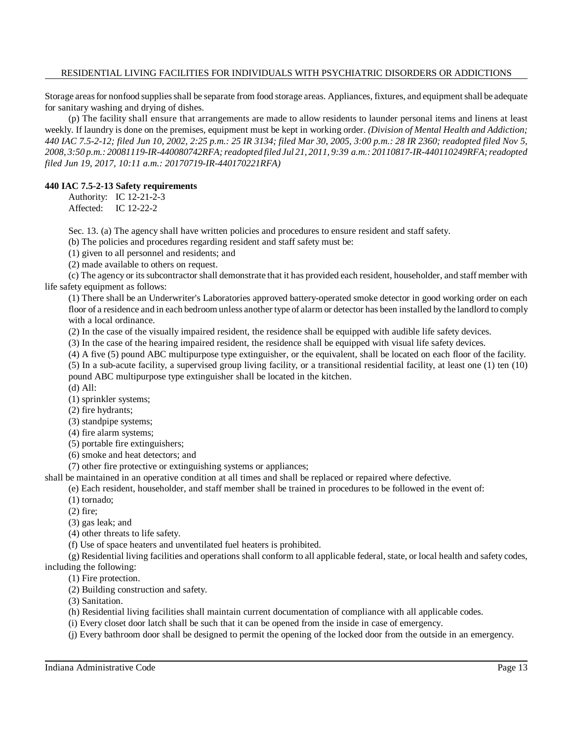Storage areas for nonfood supplies shall be separate from food storage areas. Appliances, fixtures, and equipment shall be adequate for sanitary washing and drying of dishes.

(p) The facility shall ensure that arrangements are made to allow residents to launder personal items and linens at least weekly. If laundry is done on the premises, equipment must be kept in working order. *(Division of Mental Health and Addiction;* 440 IAC 7.5-2-12; filed Jun 10, 2002, 2:25 p.m.: 25 IR 3134; filed Mar 30, 2005, 3:00 p.m.: 28 IR 2360; readopted filed Nov 5, 2008, 3:50 p.m.: 20081119-IR-440080742RFA; readopted filed Jul 21, 2011, 9:39 a.m.: 20110817-IR-440110249RFA; readopted *filed Jun 19, 2017, 10:11 a.m.: 20170719-IR-440170221RFA)*

#### **440 IAC 7.5-2-13 Safety requirements**

Authority: IC 12-21-2-3 Affected: IC 12-22-2

Sec. 13. (a) The agency shall have written policies and procedures to ensure resident and staff safety.

(b) The policies and procedures regarding resident and staff safety must be:

(1) given to all personnel and residents; and

(2) made available to others on request.

(c) The agency or itssubcontractor shall demonstrate that it has provided each resident, householder, and staff member with life safety equipment as follows:

(1) There shall be an Underwriter's Laboratories approved battery-operated smoke detector in good working order on each floor of a residence and in each bedroom unless another type of alarm or detector has been installed by the landlord to comply with a local ordinance.

(2) In the case of the visually impaired resident, the residence shall be equipped with audible life safety devices.

(3) In the case of the hearing impaired resident, the residence shall be equipped with visual life safety devices.

(4) A five (5) pound ABC multipurpose type extinguisher, or the equivalent, shall be located on each floor of the facility.

(5) In a sub-acute facility, a supervised group living facility, or a transitional residential facility, at least one (1) ten (10) pound ABC multipurpose type extinguisher shall be located in the kitchen.

(d) All:

(1) sprinkler systems;

(2) fire hydrants;

(3) standpipe systems;

(4) fire alarm systems;

(5) portable fire extinguishers;

(6) smoke and heat detectors; and

(7) other fire protective or extinguishing systems or appliances;

shall be maintained in an operative condition at all times and shall be replaced or repaired where defective.

(e) Each resident, householder, and staff member shall be trained in procedures to be followed in the event of:

(1) tornado;

(2) fire;

(3) gas leak; and

(4) other threats to life safety.

(f) Use of space heaters and unventilated fuel heaters is prohibited.

(g) Residential living facilities and operations shall conform to all applicable federal, state, or local health and safety codes,

including the following:

(1) Fire protection.

(2) Building construction and safety.

(3) Sanitation.

(h) Residential living facilities shall maintain current documentation of compliance with all applicable codes.

(i) Every closet door latch shall be such that it can be opened from the inside in case of emergency.

(j) Every bathroom door shall be designed to permit the opening of the locked door from the outside in an emergency.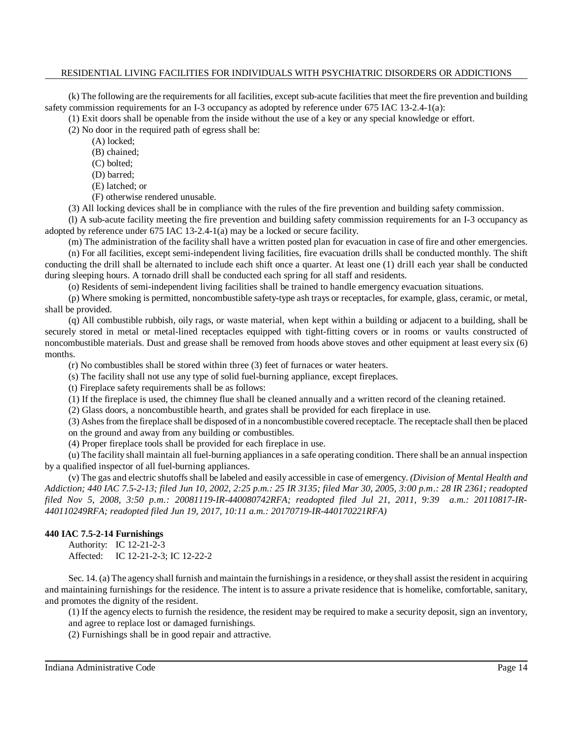(k) The following are the requirements for all facilities, except sub-acute facilities that meet the fire prevention and building safety commission requirements for an I-3 occupancy as adopted by reference under 675 IAC 13-2.4-1(a):

(1) Exit doors shall be openable from the inside without the use of a key or any special knowledge or effort.

(2) No door in the required path of egress shall be:

(A) locked;

- (B) chained;
- (C) bolted;
- (D) barred;
- (E) latched; or
- (F) otherwise rendered unusable.

(3) All locking devices shall be in compliance with the rules of the fire prevention and building safety commission.

(l) A sub-acute facility meeting the fire prevention and building safety commission requirements for an I-3 occupancy as adopted by reference under 675 IAC 13-2.4-1(a) may be a locked or secure facility.

(m) The administration of the facility shall have a written posted plan for evacuation in case of fire and other emergencies. (n) For all facilities, except semi-independent living facilities, fire evacuation drills shall be conducted monthly. The shift conducting the drill shall be alternated to include each shift once a quarter. At least one (1) drill each year shall be conducted during sleeping hours. A tornado drill shall be conducted each spring for all staff and residents.

(o) Residents of semi-independent living facilities shall be trained to handle emergency evacuation situations.

(p) Where smoking is permitted, noncombustible safety-type ash trays or receptacles, for example, glass, ceramic, or metal, shall be provided.

(q) All combustible rubbish, oily rags, or waste material, when kept within a building or adjacent to a building, shall be securely stored in metal or metal-lined receptacles equipped with tight-fitting covers or in rooms or vaults constructed of noncombustible materials. Dust and grease shall be removed from hoods above stoves and other equipment at least every six (6) months.

(r) No combustibles shall be stored within three (3) feet of furnaces or water heaters.

(s) The facility shall not use any type of solid fuel-burning appliance, except fireplaces.

(t) Fireplace safety requirements shall be as follows:

(1) If the fireplace is used, the chimney flue shall be cleaned annually and a written record of the cleaning retained.

(2) Glass doors, a noncombustible hearth, and grates shall be provided for each fireplace in use.

(3) Ashesfrom the fireplace shall be disposed of in a noncombustible covered receptacle. The receptacle shall then be placed on the ground and away from any building or combustibles.

(4) Proper fireplace tools shall be provided for each fireplace in use.

(u) The facility shall maintain all fuel-burning appliances in a safe operating condition. There shall be an annual inspection by a qualified inspector of all fuel-burning appliances.

(v) The gas and electric shutoffsshall be labeled and easily accessible in case of emergency. *(Division of Mental Health and Addiction; 440 IAC 7.5-2-13; filed Jun 10, 2002, 2:25 p.m.: 25 IR 3135; filed Mar 30, 2005, 3:00 p.m.: 28 IR 2361; readopted filed Nov 5, 2008, 3:50 p.m.: 20081119-IR-440080742RFA; readopted filed Jul 21, 2011, 9:39 a.m.: 20110817-IR-440110249RFA; readopted filed Jun 19, 2017, 10:11 a.m.: 20170719-IR-440170221RFA)*

# **440 IAC 7.5-2-14 Furnishings**

Authority: IC 12-21-2-3 Affected: IC 12-21-2-3; IC 12-22-2

Sec. 14. (a) The agency shall furnish and maintain the furnishings in a residence, or they shall assist the resident in acquiring and maintaining furnishings for the residence. The intent is to assure a private residence that is homelike, comfortable, sanitary, and promotes the dignity of the resident.

(1) If the agency elects to furnish the residence, the resident may be required to make a security deposit, sign an inventory, and agree to replace lost or damaged furnishings.

(2) Furnishings shall be in good repair and attractive.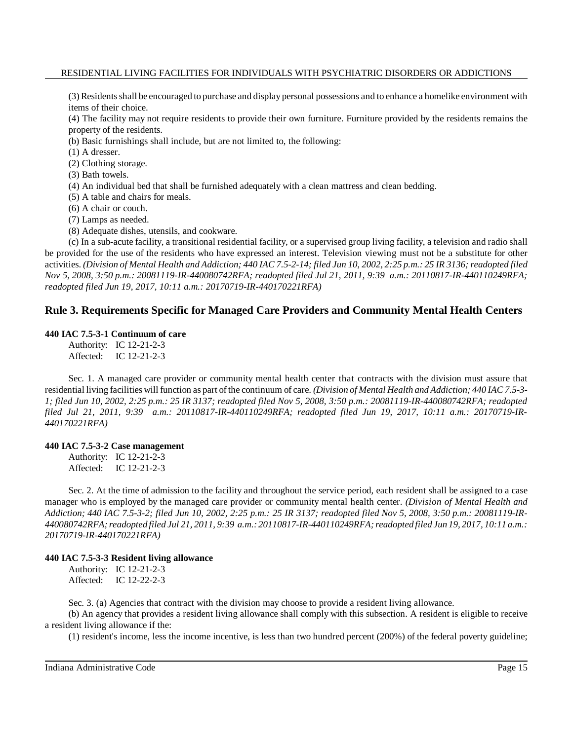(3) Residentsshall be encouraged to purchase and display personal possessions and to enhance a homelike environment with items of their choice.

(4) The facility may not require residents to provide their own furniture. Furniture provided by the residents remains the property of the residents.

(b) Basic furnishings shall include, but are not limited to, the following:

(1) A dresser.

- (2) Clothing storage.
- (3) Bath towels.
- (4) An individual bed that shall be furnished adequately with a clean mattress and clean bedding.
- (5) A table and chairs for meals.
- (6) A chair or couch.

(7) Lamps as needed.

(8) Adequate dishes, utensils, and cookware.

(c) In a sub-acute facility, a transitional residential facility, or a supervised group living facility, a television and radio shall be provided for the use of the residents who have expressed an interest. Television viewing must not be a substitute for other activities. (Division of Mental Health and Addiction; 440 IAC 7.5-2-14; filed Jun 10, 2002, 2:25 p.m.: 25 IR 3136; readopted filed *Nov 5, 2008, 3:50 p.m.: 20081119-IR-440080742RFA; readopted filed Jul 21, 2011, 9:39 a.m.: 20110817-IR-440110249RFA; readopted filed Jun 19, 2017, 10:11 a.m.: 20170719-IR-440170221RFA)*

# **Rule 3. Requirements Specific for Managed Care Providers and Community Mental Health Centers**

#### **440 IAC 7.5-3-1 Continuum of care**

Authority: IC 12-21-2-3 Affected: IC 12-21-2-3

Sec. 1. A managed care provider or community mental health center that contracts with the division must assure that residential living facilities will function as part ofthe continuum of care. *(Division of Mental Health and Addiction; 440 IAC 7.5-3- 1; filed Jun 10, 2002, 2:25 p.m.: 25 IR 3137; readopted filed Nov 5, 2008, 3:50 p.m.: 20081119-IR-440080742RFA; readopted filed Jul 21, 2011, 9:39 a.m.: 20110817-IR-440110249RFA; readopted filed Jun 19, 2017, 10:11 a.m.: 20170719-IR-440170221RFA)*

#### **440 IAC 7.5-3-2 Case management**

Authority: IC 12-21-2-3 Affected: IC 12-21-2-3

Sec. 2. At the time of admission to the facility and throughout the service period, each resident shall be assigned to a case manager who is employed by the managed care provider or community mental health center. *(Division of Mental Health and Addiction; 440 IAC 7.5-3-2; filed Jun 10, 2002, 2:25 p.m.: 25 IR 3137; readopted filed Nov 5, 2008, 3:50 p.m.: 20081119-IR-440080742RFA;readopted filed Jul 21, 2011, 9:39 a.m.: 20110817-IR-440110249RFA; readopted filed Jun 19, 2017, 10:11 a.m.: 20170719-IR-440170221RFA)*

#### **440 IAC 7.5-3-3 Resident living allowance**

Authority: IC 12-21-2-3 Affected: IC 12-22-2-3

Sec. 3. (a) Agencies that contract with the division may choose to provide a resident living allowance.

(b) An agency that provides a resident living allowance shall comply with this subsection. A resident is eligible to receive a resident living allowance if the:

(1) resident's income, less the income incentive, is less than two hundred percent (200%) of the federal poverty guideline;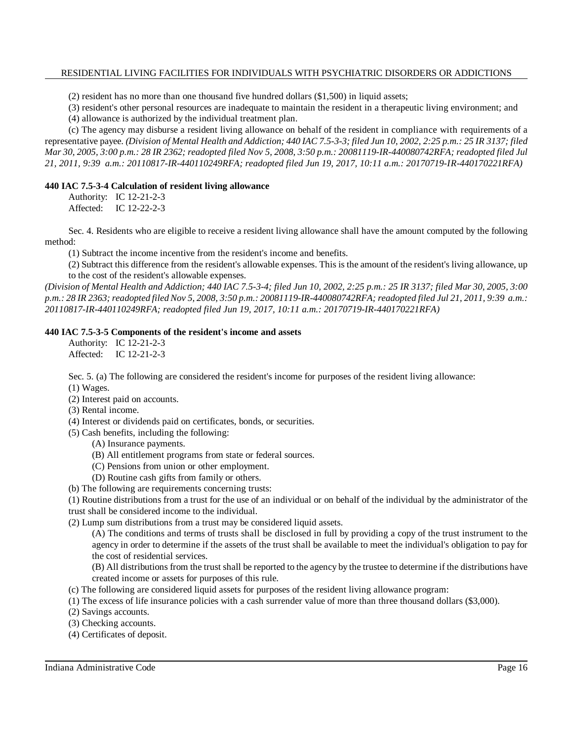(2) resident has no more than one thousand five hundred dollars (\$1,500) in liquid assets;

(3) resident's other personal resources are inadequate to maintain the resident in a therapeutic living environment; and

(4) allowance is authorized by the individual treatment plan.

(c) The agency may disburse a resident living allowance on behalf of the resident in compliance with requirements of a representative payee. (Division of Mental Health and Addiction; 440 IAC 7.5-3-3; filed Jun 10, 2002, 2:25 p.m.: 25 IR 3137; filed Mar 30, 2005, 3:00 p.m.: 28 IR 2362; readopted filed Nov 5, 2008, 3:50 p.m.: 20081119-IR-440080742RFA; readopted filed Jul *21, 2011, 9:39 a.m.: 20110817-IR-440110249RFA; readopted filed Jun 19, 2017, 10:11 a.m.: 20170719-IR-440170221RFA)*

#### **440 IAC 7.5-3-4 Calculation of resident living allowance**

Authority: IC 12-21-2-3 Affected: IC 12-22-2-3

Sec. 4. Residents who are eligible to receive a resident living allowance shall have the amount computed by the following method:

(1) Subtract the income incentive from the resident's income and benefits.

(2) Subtract this difference from the resident's allowable expenses. This is the amount of the resident's living allowance, up to the cost of the resident's allowable expenses.

(Division of Mental Health and Addiction; 440 IAC 7.5-3-4; filed Jun 10, 2002, 2:25 p.m.: 25 IR 3137; filed Mar 30, 2005, 3:00 p.m.: 28 IR 2363; readopted filed Nov 5, 2008, 3:50 p.m.: 20081119-IR-440080742RFA; readopted filed Jul 21, 2011, 9:39 a.m.: *20110817-IR-440110249RFA; readopted filed Jun 19, 2017, 10:11 a.m.: 20170719-IR-440170221RFA)*

# **440 IAC 7.5-3-5 Components of the resident's income and assets**

Authority: IC 12-21-2-3 Affected: IC 12-21-2-3

Sec. 5. (a) The following are considered the resident's income for purposes of the resident living allowance: (1) Wages.

- (2) Interest paid on accounts.
- (3) Rental income.
- (4) Interest or dividends paid on certificates, bonds, or securities.
- (5) Cash benefits, including the following:
	- (A) Insurance payments.
	- (B) All entitlement programs from state or federal sources.
	- (C) Pensions from union or other employment.
	- (D) Routine cash gifts from family or others.
- (b) The following are requirements concerning trusts:

(1) Routine distributions from a trust for the use of an individual or on behalf of the individual by the administrator of the trust shall be considered income to the individual.

(2) Lump sum distributions from a trust may be considered liquid assets.

(A) The conditions and terms of trusts shall be disclosed in full by providing a copy of the trust instrument to the agency in order to determine if the assets of the trust shall be available to meet the individual's obligation to pay for the cost of residential services.

(B) All distributions from the trust shall be reported to the agency by the trustee to determine if the distributions have created income or assets for purposes of this rule.

- (c) The following are considered liquid assets for purposes of the resident living allowance program:
- (1) The excess of life insurance policies with a cash surrender value of more than three thousand dollars (\$3,000).
- (2) Savings accounts.
- (3) Checking accounts.
- (4) Certificates of deposit.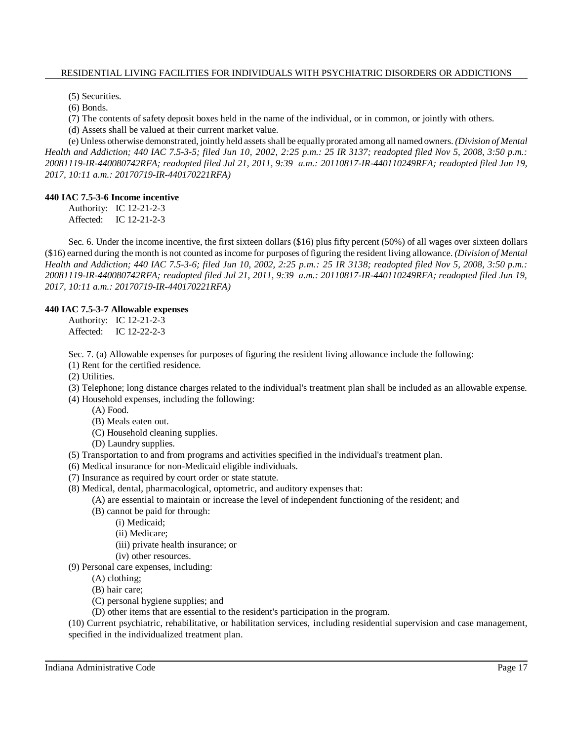(5) Securities.

(6) Bonds.

(7) The contents of safety deposit boxes held in the name of the individual, or in common, or jointly with others.

(d) Assets shall be valued at their current market value.

(e) Unless otherwise demonstrated, jointlyheld assetsshall be equallyprorated among all named owners. *(Division of Mental Health and Addiction; 440 IAC 7.5-3-5; filed Jun 10, 2002, 2:25 p.m.: 25 IR 3137; readopted filed Nov 5, 2008, 3:50 p.m.: 20081119-IR-440080742RFA; readopted filed Jul 21, 2011, 9:39 a.m.: 20110817-IR-440110249RFA; readopted filed Jun 19, 2017, 10:11 a.m.: 20170719-IR-440170221RFA)*

#### **440 IAC 7.5-3-6 Income incentive**

Authority: IC 12-21-2-3 Affected: IC 12-21-2-3

Sec. 6. Under the income incentive, the first sixteen dollars (\$16) plus fifty percent (50%) of all wages over sixteen dollars (\$16) earned during the month is not counted asincome for purposes of figuring the resident living allowance. *(Division of Mental Health and Addiction; 440 IAC 7.5-3-6; filed Jun 10, 2002, 2:25 p.m.: 25 IR 3138; readopted filed Nov 5, 2008, 3:50 p.m.: 20081119-IR-440080742RFA; readopted filed Jul 21, 2011, 9:39 a.m.: 20110817-IR-440110249RFA; readopted filed Jun 19, 2017, 10:11 a.m.: 20170719-IR-440170221RFA)*

#### **440 IAC 7.5-3-7 Allowable expenses**

Authority: IC 12-21-2-3 Affected: IC 12-22-2-3

Sec. 7. (a) Allowable expenses for purposes of figuring the resident living allowance include the following:

- (1) Rent for the certified residence.
- (2) Utilities.
- (3) Telephone; long distance charges related to the individual's treatment plan shall be included as an allowable expense.
- (4) Household expenses, including the following:
	- (A) Food.
		- (B) Meals eaten out.
		- (C) Household cleaning supplies.
		- (D) Laundry supplies.
- (5) Transportation to and from programs and activities specified in the individual's treatment plan.
- (6) Medical insurance for non-Medicaid eligible individuals.
- (7) Insurance as required by court order or state statute.
- (8) Medical, dental, pharmacological, optometric, and auditory expenses that:
	- (A) are essential to maintain or increase the level of independent functioning of the resident; and
	- (B) cannot be paid for through:
		- (i) Medicaid;
		- (ii) Medicare;
		- (iii) private health insurance; or
		- (iv) other resources.
- (9) Personal care expenses, including:
	- (A) clothing;
	- (B) hair care;
	- (C) personal hygiene supplies; and
	- (D) other items that are essential to the resident's participation in the program.

(10) Current psychiatric, rehabilitative, or habilitation services, including residential supervision and case management, specified in the individualized treatment plan.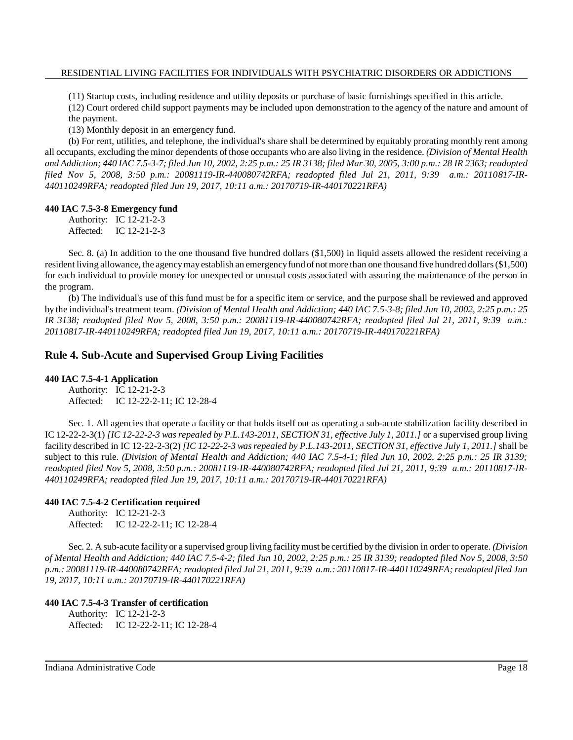(11) Startup costs, including residence and utility deposits or purchase of basic furnishings specified in this article.

(12) Court ordered child support payments may be included upon demonstration to the agency of the nature and amount of the payment.

(13) Monthly deposit in an emergency fund.

(b) For rent, utilities, and telephone, the individual's share shall be determined by equitably prorating monthly rent among all occupants, excluding the minor dependents of those occupants who are also living in the residence. *(Division of Mental Health* and Addiction; 440 IAC 7.5-3-7; filed Jun 10, 2002, 2:25 p.m.: 25 IR 3138; filed Mar 30, 2005, 3:00 p.m.: 28 IR 2363; readopted *filed Nov 5, 2008, 3:50 p.m.: 20081119-IR-440080742RFA; readopted filed Jul 21, 2011, 9:39 a.m.: 20110817-IR-440110249RFA; readopted filed Jun 19, 2017, 10:11 a.m.: 20170719-IR-440170221RFA)*

#### **440 IAC 7.5-3-8 Emergency fund**

Authority: IC 12-21-2-3 Affected: IC 12-21-2-3

Sec. 8. (a) In addition to the one thousand five hundred dollars (\$1,500) in liquid assets allowed the resident receiving a resident living allowance, the agency may establish an emergency fund of not more than one thousand five hundred dollars (\$1,500) for each individual to provide money for unexpected or unusual costs associated with assuring the maintenance of the person in the program.

(b) The individual's use of this fund must be for a specific item or service, and the purpose shall be reviewed and approved by the individual's treatment team. (Division of Mental Health and Addiction; 440 IAC 7.5-3-8; filed Jun 10, 2002, 2:25 p.m.: 25 *IR 3138; readopted filed Nov 5, 2008, 3:50 p.m.: 20081119-IR-440080742RFA; readopted filed Jul 21, 2011, 9:39 a.m.: 20110817-IR-440110249RFA; readopted filed Jun 19, 2017, 10:11 a.m.: 20170719-IR-440170221RFA)*

# **Rule 4. Sub-Acute and Supervised Group Living Facilities**

# **440 IAC 7.5-4-1 Application**

Authority: IC 12-21-2-3 Affected: IC 12-22-2-11; IC 12-28-4

Sec. 1. All agencies that operate a facility or that holds itself out as operating a sub-acute stabilization facility described in IC 12-22-2-3(1) *[IC 12-22-2-3 was repealed by P.L.143-2011, SECTION 31, effective July 1, 2011.]* or a supervised group living facility described in IC 12-22-2-3(2) *[IC 12-22-2-3 wasrepealed by P.L.143-2011, SECTION 31, effective July 1, 2011.]* shall be subject to this rule. *(Division of Mental Health and Addiction; 440 IAC 7.5-4-1; filed Jun 10, 2002, 2:25 p.m.: 25 IR 3139; readopted filed Nov 5, 2008, 3:50 p.m.: 20081119-IR-440080742RFA; readopted filed Jul 21, 2011, 9:39 a.m.: 20110817-IR-440110249RFA; readopted filed Jun 19, 2017, 10:11 a.m.: 20170719-IR-440170221RFA)*

# **440 IAC 7.5-4-2 Certification required**

Authority: IC 12-21-2-3 Affected: IC 12-22-2-11; IC 12-28-4

Sec. 2. A sub-acute facility or a supervised group living facilitymust be certified by the division in order to operate. *(Division* of Mental Health and Addiction; 440 IAC 7.5-4-2; filed Jun 10, 2002, 2:25 p.m.: 25 IR 3139; readopted filed Nov 5, 2008, 3:50 *p.m.: 20081119-IR-440080742RFA; readopted filed Jul 21, 2011, 9:39 a.m.: 20110817-IR-440110249RFA; readopted filed Jun 19, 2017, 10:11 a.m.: 20170719-IR-440170221RFA)*

# **440 IAC 7.5-4-3 Transfer of certification**

Authority: IC 12-21-2-3 Affected: IC 12-22-2-11; IC 12-28-4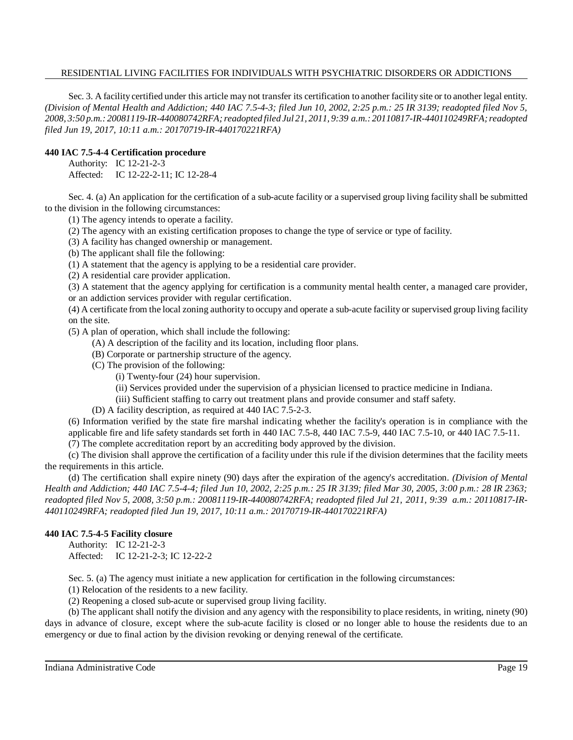Sec. 3. A facility certified under this article may not transfer its certification to another facility site or to another legal entity. *(Division of Mental Health and Addiction; 440 IAC 7.5-4-3; filed Jun 10, 2002, 2:25 p.m.: 25 IR 3139; readopted filed Nov 5, 2008, 3:50 p.m.: 20081119-IR-440080742RFA;readopted filed Jul 21, 2011, 9:39 a.m.: 20110817-IR-440110249RFA; readopted filed Jun 19, 2017, 10:11 a.m.: 20170719-IR-440170221RFA)*

#### **440 IAC 7.5-4-4 Certification procedure**

Authority: IC 12-21-2-3

Affected: IC 12-22-2-11; IC 12-28-4

Sec. 4. (a) An application for the certification of a sub-acute facility or a supervised group living facility shall be submitted to the division in the following circumstances:

(1) The agency intends to operate a facility.

(2) The agency with an existing certification proposes to change the type of service or type of facility.

(3) A facility has changed ownership or management.

(b) The applicant shall file the following:

(1) A statement that the agency is applying to be a residential care provider.

(2) A residential care provider application.

(3) A statement that the agency applying for certification is a community mental health center, a managed care provider, or an addiction services provider with regular certification.

(4) A certificate from the local zoning authority to occupy and operate a sub-acute facility or supervised group living facility on the site.

(5) A plan of operation, which shall include the following:

- (A) A description of the facility and its location, including floor plans.
- (B) Corporate or partnership structure of the agency.
- (C) The provision of the following:
	- (i) Twenty-four (24) hour supervision.
	- (ii) Services provided under the supervision of a physician licensed to practice medicine in Indiana.
	- (iii) Sufficient staffing to carry out treatment plans and provide consumer and staff safety.

(D) A facility description, as required at 440 IAC 7.5-2-3.

(6) Information verified by the state fire marshal indicating whether the facility's operation is in compliance with the applicable fire and life safety standards set forth in 440 IAC 7.5-8, 440 IAC 7.5-9, 440 IAC 7.5-10, or 440 IAC 7.5-11.

(7) The complete accreditation report by an accrediting body approved by the division.

(c) The division shall approve the certification of a facility under this rule if the division determines that the facility meets the requirements in this article.

(d) The certification shall expire ninety (90) days after the expiration of the agency's accreditation. *(Division of Mental Health and Addiction; 440 IAC 7.5-4-4; filed Jun 10, 2002, 2:25 p.m.: 25 IR 3139; filed Mar 30, 2005, 3:00 p.m.: 28 IR 2363; readopted filed Nov 5, 2008, 3:50 p.m.: 20081119-IR-440080742RFA; readopted filed Jul 21, 2011, 9:39 a.m.: 20110817-IR-440110249RFA; readopted filed Jun 19, 2017, 10:11 a.m.: 20170719-IR-440170221RFA)*

# **440 IAC 7.5-4-5 Facility closure**

Authority: IC 12-21-2-3 Affected: IC 12-21-2-3; IC 12-22-2

Sec. 5. (a) The agency must initiate a new application for certification in the following circumstances:

(1) Relocation of the residents to a new facility.

(2) Reopening a closed sub-acute or supervised group living facility.

(b) The applicant shall notify the division and any agency with the responsibility to place residents, in writing, ninety (90) days in advance of closure, except where the sub-acute facility is closed or no longer able to house the residents due to an emergency or due to final action by the division revoking or denying renewal of the certificate.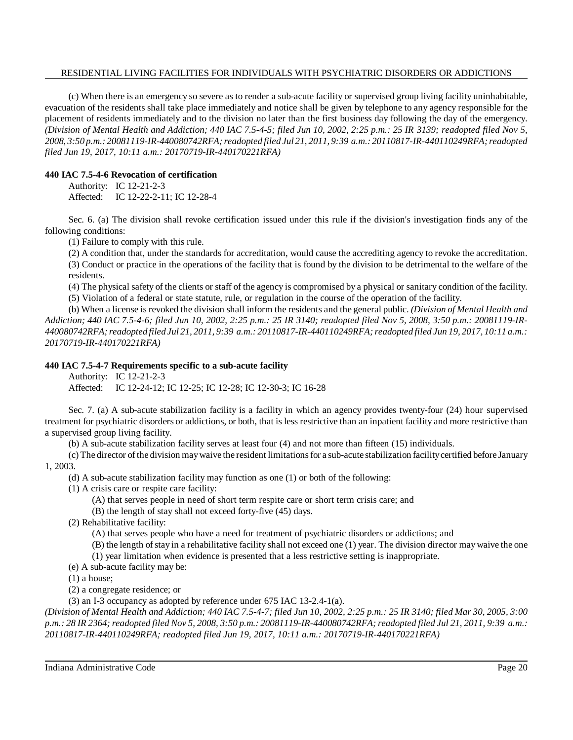(c) When there is an emergency so severe as to render a sub-acute facility or supervised group living facility uninhabitable, evacuation of the residents shall take place immediately and notice shall be given by telephone to any agency responsible for the placement of residents immediately and to the division no later than the first business day following the day of the emergency. *(Division of Mental Health and Addiction; 440 IAC 7.5-4-5; filed Jun 10, 2002, 2:25 p.m.: 25 IR 3139; readopted filed Nov 5, 2008, 3:50 p.m.: 20081119-IR-440080742RFA;readopted filed Jul 21, 2011, 9:39 a.m.: 20110817-IR-440110249RFA; readopted filed Jun 19, 2017, 10:11 a.m.: 20170719-IR-440170221RFA)*

# **440 IAC 7.5-4-6 Revocation of certification**

Authority: IC 12-21-2-3 Affected: IC 12-22-2-11; IC 12-28-4

Sec. 6. (a) The division shall revoke certification issued under this rule if the division's investigation finds any of the following conditions:

(1) Failure to comply with this rule.

(2) A condition that, under the standards for accreditation, would cause the accrediting agency to revoke the accreditation. (3) Conduct or practice in the operations of the facility that is found by the division to be detrimental to the welfare of the residents.

(4) The physical safety of the clients or staff of the agency is compromised by a physical or sanitary condition of the facility. (5) Violation of a federal or state statute, rule, or regulation in the course of the operation of the facility.

(b) When a license is revoked the division shall inform the residents and the general public. *(Division of Mental Health and Addiction; 440 IAC 7.5-4-6; filed Jun 10, 2002, 2:25 p.m.: 25 IR 3140; readopted filed Nov 5, 2008, 3:50 p.m.: 20081119-IR-440080742RFA;readopted filed Jul 21, 2011, 9:39 a.m.: 20110817-IR-440110249RFA; readopted filed Jun 19, 2017, 10:11 a.m.: 20170719-IR-440170221RFA)*

#### **440 IAC 7.5-4-7 Requirements specific to a sub-acute facility**

Authority: IC 12-21-2-3

Affected: IC 12-24-12; IC 12-25; IC 12-28; IC 12-30-3; IC 16-28

Sec. 7. (a) A sub-acute stabilization facility is a facility in which an agency provides twenty-four (24) hour supervised treatment for psychiatric disorders or addictions, or both, that is less restrictive than an inpatient facility and more restrictive than a supervised group living facility.

(b) A sub-acute stabilization facility serves at least four (4) and not more than fifteen (15) individuals.

(c) The director ofthe division maywaive the resident limitationsfor a sub-acute stabilization facilitycertified before January 1, 2003.

- (d) A sub-acute stabilization facility may function as one (1) or both of the following:
- (1) A crisis care or respite care facility:
	- (A) that serves people in need of short term respite care or short term crisis care; and
	- (B) the length of stay shall not exceed forty-five (45) days.
- (2) Rehabilitative facility:
	- (A) that serves people who have a need for treatment of psychiatric disorders or addictions; and
	- $(B)$  the length of stay in a rehabilitative facility shall not exceed one  $(1)$  year. The division director may waive the one (1) year limitation when evidence is presented that a less restrictive setting is inappropriate.
- (e) A sub-acute facility may be:

(1) a house;

(2) a congregate residence; or

(3) an I-3 occupancy as adopted by reference under 675 IAC 13-2.4-1(a).

(Division of Mental Health and Addiction; 440 IAC 7.5-4-7; filed Jun 10, 2002, 2:25 p.m.: 25 IR 3140; filed Mar 30, 2005, 3:00 p.m.: 28 IR 2364; readopted filed Nov 5, 2008, 3:50 p.m.: 20081119-IR-440080742RFA; readopted filed Jul 21, 2011, 9:39 a.m.: *20110817-IR-440110249RFA; readopted filed Jun 19, 2017, 10:11 a.m.: 20170719-IR-440170221RFA)*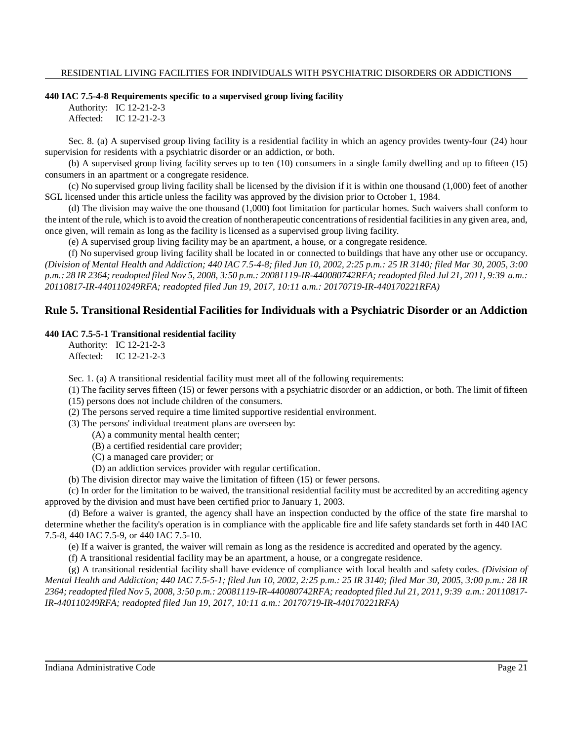#### **440 IAC 7.5-4-8 Requirements specific to a supervised group living facility**

Authority: IC 12-21-2-3 Affected: IC 12-21-2-3

Sec. 8. (a) A supervised group living facility is a residential facility in which an agency provides twenty-four (24) hour supervision for residents with a psychiatric disorder or an addiction, or both.

(b) A supervised group living facility serves up to ten (10) consumers in a single family dwelling and up to fifteen (15) consumers in an apartment or a congregate residence.

(c) No supervised group living facility shall be licensed by the division if it is within one thousand (1,000) feet of another SGL licensed under this article unless the facility was approved by the division prior to October 1, 1984.

(d) The division may waive the one thousand (1,000) foot limitation for particular homes. Such waivers shall conform to the intent of the rule, which isto avoid the creation of nontherapeutic concentrations of residential facilitiesin any given area, and, once given, will remain as long as the facility is licensed as a supervised group living facility.

(e) A supervised group living facility may be an apartment, a house, or a congregate residence.

(f) No supervised group living facility shall be located in or connected to buildings that have any other use or occupancy. (Division of Mental Health and Addiction; 440 IAC 7.5-4-8; filed Jun 10, 2002, 2:25 p.m.: 25 IR 3140; filed Mar 30, 2005, 3:00 p.m.; 28 IR 2364; readopted filed Nov 5, 2008, 3:50 p.m.; 20081119-IR-440080742RFA; readopted filed Jul 21, 2011, 9:39 a.m.; *20110817-IR-440110249RFA; readopted filed Jun 19, 2017, 10:11 a.m.: 20170719-IR-440170221RFA)*

# **Rule 5. Transitional Residential Facilities for Individuals with a Psychiatric Disorder or an Addiction**

# **440 IAC 7.5-5-1 Transitional residential facility**

Authority: IC 12-21-2-3 Affected: IC 12-21-2-3

Sec. 1. (a) A transitional residential facility must meet all of the following requirements:

(1) The facility serves fifteen (15) or fewer persons with a psychiatric disorder or an addiction, or both. The limit of fifteen (15) persons does not include children of the consumers.

(2) The persons served require a time limited supportive residential environment.

(3) The persons' individual treatment plans are overseen by:

(A) a community mental health center;

(B) a certified residential care provider;

(C) a managed care provider; or

(D) an addiction services provider with regular certification.

(b) The division director may waive the limitation of fifteen (15) or fewer persons.

(c) In order for the limitation to be waived, the transitional residential facility must be accredited by an accrediting agency approved by the division and must have been certified prior to January 1, 2003.

(d) Before a waiver is granted, the agency shall have an inspection conducted by the office of the state fire marshal to determine whether the facility's operation is in compliance with the applicable fire and life safety standards set forth in 440 IAC 7.5-8, 440 IAC 7.5-9, or 440 IAC 7.5-10.

(e) If a waiver is granted, the waiver will remain as long as the residence is accredited and operated by the agency.

(f) A transitional residential facility may be an apartment, a house, or a congregate residence.

(g) A transitional residential facility shall have evidence of compliance with local health and safety codes. *(Division of* Mental Health and Addiction; 440 IAC 7.5-5-1; filed Jun 10, 2002, 2:25 p.m.: 25 IR 3140; filed Mar 30, 2005, 3:00 p.m.: 28 IR 2364; readopted filed Nov 5, 2008, 3:50 p.m.: 20081119-IR-440080742RFA; readopted filed Jul 21, 2011, 9:39 a.m.: 20110817-*IR-440110249RFA; readopted filed Jun 19, 2017, 10:11 a.m.: 20170719-IR-440170221RFA)*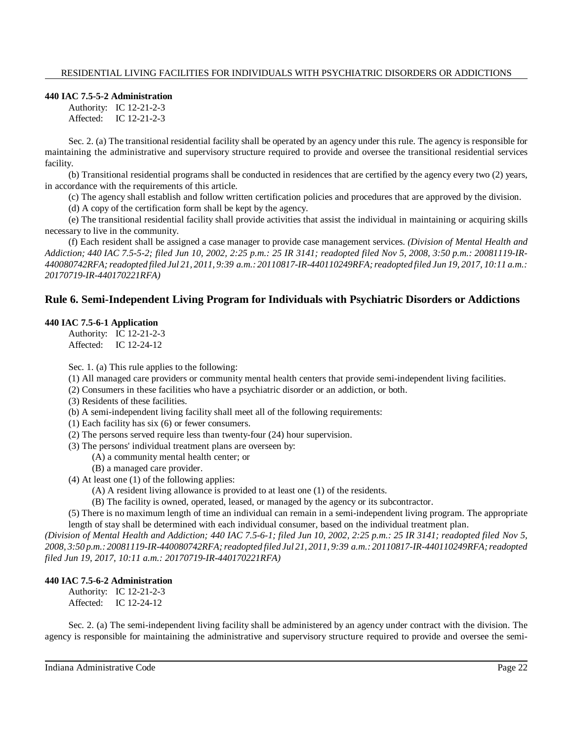#### **440 IAC 7.5-5-2 Administration**

Authority: IC 12-21-2-3 Affected: IC 12-21-2-3

Sec. 2. (a) The transitional residential facility shall be operated by an agency under this rule. The agency is responsible for maintaining the administrative and supervisory structure required to provide and oversee the transitional residential services facility.

(b) Transitional residential programs shall be conducted in residences that are certified by the agency every two (2) years, in accordance with the requirements of this article.

(c) The agency shall establish and follow written certification policies and procedures that are approved by the division.

(d) A copy of the certification form shall be kept by the agency.

(e) The transitional residential facility shall provide activities that assist the individual in maintaining or acquiring skills necessary to live in the community.

(f) Each resident shall be assigned a case manager to provide case management services. *(Division of Mental Health and Addiction; 440 IAC 7.5-5-2; filed Jun 10, 2002, 2:25 p.m.: 25 IR 3141; readopted filed Nov 5, 2008, 3:50 p.m.: 20081119-IR-440080742RFA;readopted filed Jul 21, 2011, 9:39 a.m.: 20110817-IR-440110249RFA; readopted filed Jun 19, 2017, 10:11 a.m.: 20170719-IR-440170221RFA)*

# **Rule 6. Semi-Independent Living Program for Individuals with Psychiatric Disorders or Addictions**

#### **440 IAC 7.5-6-1 Application**

Authority: IC 12-21-2-3 Affected: IC 12-24-12

Sec. 1. (a) This rule applies to the following:

- (1) All managed care providers or community mental health centers that provide semi-independent living facilities.
- (2) Consumers in these facilities who have a psychiatric disorder or an addiction, or both.
- (3) Residents of these facilities.
- (b) A semi-independent living facility shall meet all of the following requirements:
- (1) Each facility has six (6) or fewer consumers.
- (2) The persons served require less than twenty-four (24) hour supervision.
- (3) The persons' individual treatment plans are overseen by:
	- (A) a community mental health center; or
	- (B) a managed care provider.
- (4) At least one (1) of the following applies:
	- (A) A resident living allowance is provided to at least one (1) of the residents.
	- (B) The facility is owned, operated, leased, or managed by the agency or its subcontractor.

(5) There is no maximum length of time an individual can remain in a semi-independent living program. The appropriate length of stay shall be determined with each individual consumer, based on the individual treatment plan.

*(Division of Mental Health and Addiction; 440 IAC 7.5-6-1; filed Jun 10, 2002, 2:25 p.m.: 25 IR 3141; readopted filed Nov 5, 2008, 3:50 p.m.: 20081119-IR-440080742RFA;readopted filed Jul 21, 2011, 9:39 a.m.: 20110817-IR-440110249RFA; readopted filed Jun 19, 2017, 10:11 a.m.: 20170719-IR-440170221RFA)*

# **440 IAC 7.5-6-2 Administration**

Authority: IC 12-21-2-3 Affected: IC 12-24-12

Sec. 2. (a) The semi-independent living facility shall be administered by an agency under contract with the division. The agency is responsible for maintaining the administrative and supervisory structure required to provide and oversee the semi-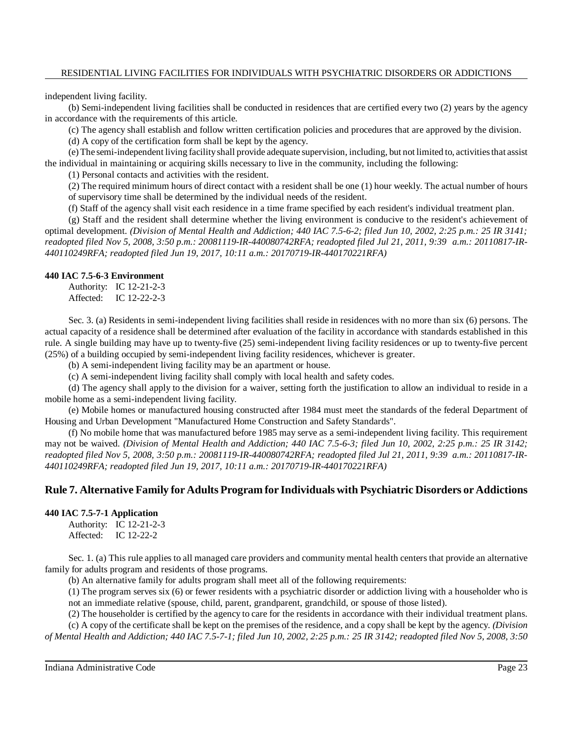independent living facility.

(b) Semi-independent living facilities shall be conducted in residences that are certified every two (2) years by the agency in accordance with the requirements of this article.

(c) The agency shall establish and follow written certification policies and procedures that are approved by the division.

(d) A copy of the certification form shall be kept by the agency.

(e)The semi-independent living facilityshall provide adequate supervision, including, but not limited to, activitiesthat assist the individual in maintaining or acquiring skills necessary to live in the community, including the following:

(1) Personal contacts and activities with the resident.

(2) The required minimum hours of direct contact with a resident shall be one (1) hour weekly. The actual number of hours of supervisory time shall be determined by the individual needs of the resident.

(f) Staff of the agency shall visit each residence in a time frame specified by each resident's individual treatment plan.

(g) Staff and the resident shall determine whether the living environment is conducive to the resident's achievement of optimal development. *(Division of Mental Health and Addiction; 440 IAC 7.5-6-2; filed Jun 10, 2002, 2:25 p.m.: 25 IR 3141; readopted filed Nov 5, 2008, 3:50 p.m.: 20081119-IR-440080742RFA; readopted filed Jul 21, 2011, 9:39 a.m.: 20110817-IR-440110249RFA; readopted filed Jun 19, 2017, 10:11 a.m.: 20170719-IR-440170221RFA)*

#### **440 IAC 7.5-6-3 Environment**

Authority: IC 12-21-2-3 Affected: IC 12-22-2-3

Sec. 3. (a) Residents in semi-independent living facilities shall reside in residences with no more than six (6) persons. The actual capacity of a residence shall be determined after evaluation of the facility in accordance with standards established in this rule. A single building may have up to twenty-five (25) semi-independent living facility residences or up to twenty-five percent (25%) of a building occupied by semi-independent living facility residences, whichever is greater.

(b) A semi-independent living facility may be an apartment or house.

(c) A semi-independent living facility shall comply with local health and safety codes.

(d) The agency shall apply to the division for a waiver, setting forth the justification to allow an individual to reside in a mobile home as a semi-independent living facility.

(e) Mobile homes or manufactured housing constructed after 1984 must meet the standards of the federal Department of Housing and Urban Development "Manufactured Home Construction and Safety Standards".

(f) No mobile home that was manufactured before 1985 may serve as a semi-independent living facility. This requirement may not be waived. (Division of Mental Health and Addiction; 440 IAC 7.5-6-3; filed Jun 10, 2002, 2:25 p.m.: 25 IR 3142; *readopted filed Nov 5, 2008, 3:50 p.m.: 20081119-IR-440080742RFA; readopted filed Jul 21, 2011, 9:39 a.m.: 20110817-IR-440110249RFA; readopted filed Jun 19, 2017, 10:11 a.m.: 20170719-IR-440170221RFA)*

# **Rule 7. Alternative Family for Adults Program for Individuals with Psychiatric Disorders or Addictions**

# **440 IAC 7.5-7-1 Application**

Authority: IC 12-21-2-3 Affected: IC 12-22-2

Sec. 1. (a) This rule applies to all managed care providers and community mental health centers that provide an alternative family for adults program and residents of those programs.

(b) An alternative family for adults program shall meet all of the following requirements:

(1) The program serves six (6) or fewer residents with a psychiatric disorder or addiction living with a householder who is not an immediate relative (spouse, child, parent, grandparent, grandchild, or spouse of those listed).

(2) The householder is certified by the agency to care for the residents in accordance with their individual treatment plans.

(c) A copy of the certificate shall be kept on the premises of the residence, and a copy shall be kept by the agency. *(Division* of Mental Health and Addiction; 440 IAC 7.5-7-1; filed Jun 10, 2002, 2:25 p.m.: 25 IR 3142; readopted filed Nov 5, 2008, 3:50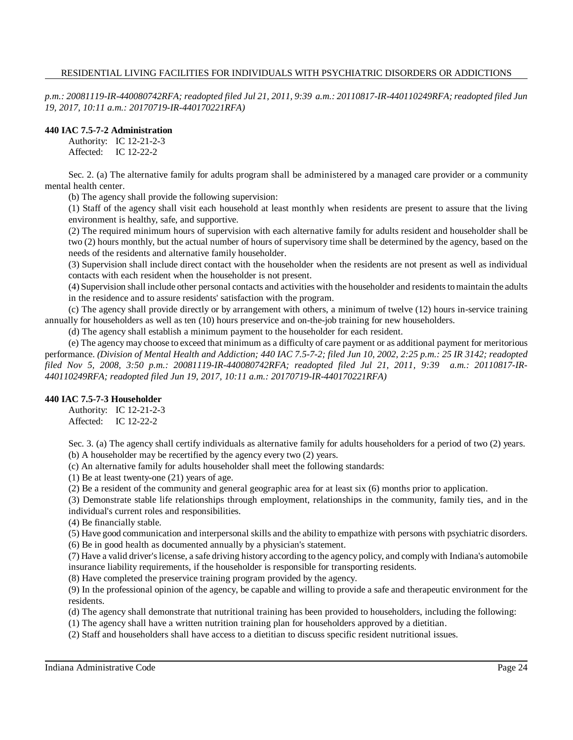*p.m.: 20081119-IR-440080742RFA; readopted filed Jul 21, 2011, 9:39 a.m.: 20110817-IR-440110249RFA; readopted filed Jun 19, 2017, 10:11 a.m.: 20170719-IR-440170221RFA)*

# **440 IAC 7.5-7-2 Administration**

Authority: IC 12-21-2-3 Affected: IC 12-22-2

Sec. 2. (a) The alternative family for adults program shall be administered by a managed care provider or a community mental health center.

(b) The agency shall provide the following supervision:

(1) Staff of the agency shall visit each household at least monthly when residents are present to assure that the living environment is healthy, safe, and supportive.

(2) The required minimum hours of supervision with each alternative family for adults resident and householder shall be two (2) hours monthly, but the actual number of hours of supervisory time shall be determined by the agency, based on the needs of the residents and alternative family householder.

(3) Supervision shall include direct contact with the householder when the residents are not present as well as individual contacts with each resident when the householder is not present.

(4) Supervision shall include other personal contacts and activities with the householder and residentstomaintain the adults in the residence and to assure residents' satisfaction with the program.

(c) The agency shall provide directly or by arrangement with others, a minimum of twelve (12) hours in-service training annually for householders as well as ten (10) hours preservice and on-the-job training for new householders.

(d) The agency shall establish a minimum payment to the householder for each resident.

(e) The agency may choose to exceed that minimum as a difficulty of care payment or as additional payment for meritorious performance. (Division of Mental Health and Addiction; 440 IAC 7.5-7-2; filed Jun 10, 2002, 2:25 p.m.: 25 IR 3142; readopted *filed Nov 5, 2008, 3:50 p.m.: 20081119-IR-440080742RFA; readopted filed Jul 21, 2011, 9:39 a.m.: 20110817-IR-440110249RFA; readopted filed Jun 19, 2017, 10:11 a.m.: 20170719-IR-440170221RFA)*

# **440 IAC 7.5-7-3 Householder**

Authority: IC 12-21-2-3 Affected: IC 12-22-2

Sec. 3. (a) The agency shall certify individuals as alternative family for adults householders for a period of two (2) years. (b) A householder may be recertified by the agency every two (2) years.

(c) An alternative family for adults householder shall meet the following standards:

(1) Be at least twenty-one (21) years of age.

(2) Be a resident of the community and general geographic area for at least six (6) months prior to application.

(3) Demonstrate stable life relationships through employment, relationships in the community, family ties, and in the individual's current roles and responsibilities.

(4) Be financially stable.

(5) Have good communication and interpersonal skills and the ability to empathize with persons with psychiatric disorders.

(6) Be in good health as documented annually by a physician's statement.

(7) Have a valid driver'slicense, a safe driving history according to the agency policy, and complywith Indiana's automobile insurance liability requirements, if the householder is responsible for transporting residents.

(8) Have completed the preservice training program provided by the agency.

(9) In the professional opinion of the agency, be capable and willing to provide a safe and therapeutic environment for the residents.

(d) The agency shall demonstrate that nutritional training has been provided to householders, including the following:

(1) The agency shall have a written nutrition training plan for householders approved by a dietitian.

(2) Staff and householders shall have access to a dietitian to discuss specific resident nutritional issues.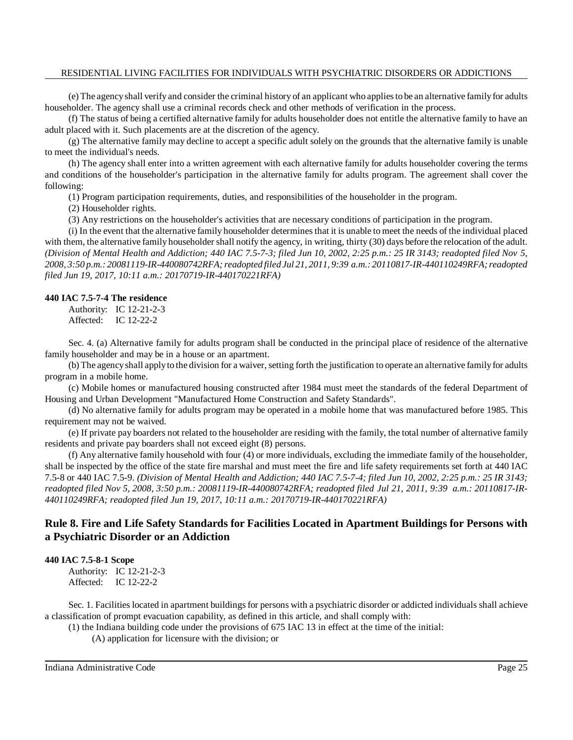(e) The agencyshall verify and consider the criminal history of an applicant who appliesto be an alternative familyfor adults householder. The agency shall use a criminal records check and other methods of verification in the process.

(f) The status of being a certified alternative family for adults householder does not entitle the alternative family to have an adult placed with it. Such placements are at the discretion of the agency.

(g) The alternative family may decline to accept a specific adult solely on the grounds that the alternative family is unable to meet the individual's needs.

(h) The agency shall enter into a written agreement with each alternative family for adults householder covering the terms and conditions of the householder's participation in the alternative family for adults program. The agreement shall cover the following:

(1) Program participation requirements, duties, and responsibilities of the householder in the program.

(2) Householder rights.

(3) Any restrictions on the householder's activities that are necessary conditions of participation in the program.

(i) In the event that the alternative family householder determinesthat it is unable to meet the needs of the individual placed with them, the alternative family householder shall notify the agency, in writing, thirty (30) days before the relocation of the adult. *(Division of Mental Health and Addiction; 440 IAC 7.5-7-3; filed Jun 10, 2002, 2:25 p.m.: 25 IR 3143; readopted filed Nov 5, 2008, 3:50 p.m.: 20081119-IR-440080742RFA;readopted filed Jul 21, 2011, 9:39 a.m.: 20110817-IR-440110249RFA; readopted filed Jun 19, 2017, 10:11 a.m.: 20170719-IR-440170221RFA)*

#### **440 IAC 7.5-7-4 The residence**

Authority: IC 12-21-2-3 Affected: IC 12-22-2

Sec. 4. (a) Alternative family for adults program shall be conducted in the principal place of residence of the alternative family householder and may be in a house or an apartment.

(b) The agency shall apply to the division for a waiver, setting forth the justification to operate an alternative family for adults program in a mobile home.

(c) Mobile homes or manufactured housing constructed after 1984 must meet the standards of the federal Department of Housing and Urban Development "Manufactured Home Construction and Safety Standards".

(d) No alternative family for adults program may be operated in a mobile home that was manufactured before 1985. This requirement may not be waived.

(e) If private pay boarders not related to the householder are residing with the family, the total number of alternative family residents and private pay boarders shall not exceed eight (8) persons.

(f) Any alternative family household with four (4) or more individuals, excluding the immediate family of the householder, shall be inspected by the office of the state fire marshal and must meet the fire and life safety requirements set forth at 440 IAC 7.5-8 or 440 IAC 7.5-9. *(Division of Mental Health and Addiction; 440 IAC 7.5-7-4; filed Jun 10, 2002, 2:25 p.m.: 25 IR 3143; readopted filed Nov 5, 2008, 3:50 p.m.: 20081119-IR-440080742RFA; readopted filed Jul 21, 2011, 9:39 a.m.: 20110817-IR-440110249RFA; readopted filed Jun 19, 2017, 10:11 a.m.: 20170719-IR-440170221RFA)*

# **Rule 8. Fire and Life Safety Standards for Facilities Located in Apartment Buildings for Persons with a Psychiatric Disorder or an Addiction**

# **440 IAC 7.5-8-1 Scope**

Authority: IC 12-21-2-3 Affected: IC 12-22-2

Sec. 1. Facilities located in apartment buildings for persons with a psychiatric disorder or addicted individuals shall achieve a classification of prompt evacuation capability, as defined in this article, and shall comply with:

(1) the Indiana building code under the provisions of 675 IAC 13 in effect at the time of the initial:

(A) application for licensure with the division; or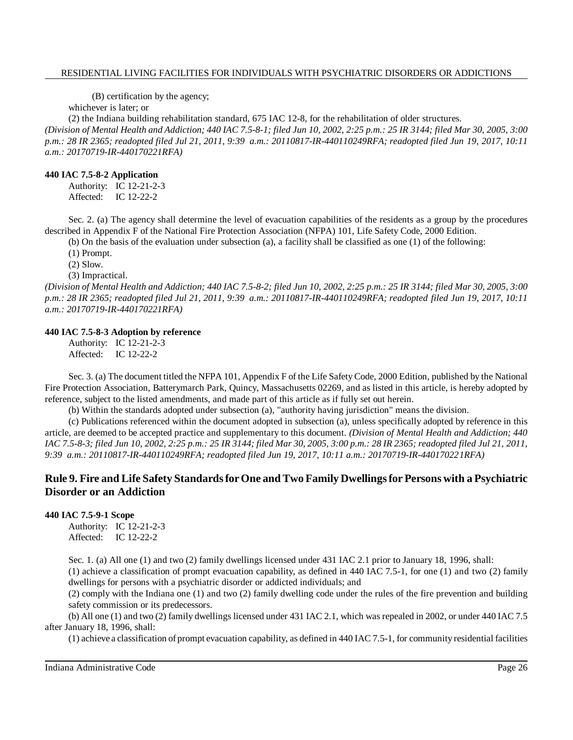(B) certification by the agency;

whichever is later; or

(2) the Indiana building rehabilitation standard, 675 IAC 12-8, for the rehabilitation of older structures.

(Division of Mental Health and Addiction; 440 IAC 7.5-8-1; filed Jun 10, 2002, 2:25 p.m.: 25 IR 3144; filed Mar 30, 2005, 3:00 *p.m.: 28 IR 2365; readopted filed Jul 21, 2011, 9:39 a.m.: 20110817-IR-440110249RFA; readopted filed Jun 19, 2017, 10:11 a.m.: 20170719-IR-440170221RFA)*

#### **440 IAC 7.5-8-2 Application**

Authority: IC 12-21-2-3 Affected: IC 12-22-2

Sec. 2. (a) The agency shall determine the level of evacuation capabilities of the residents as a group by the procedures described in Appendix F of the National Fire Protection Association (NFPA) 101, Life Safety Code, 2000 Edition.

(b) On the basis of the evaluation under subsection (a), a facility shall be classified as one (1) of the following:

(1) Prompt.

(2) Slow.

(3) Impractical.

(Division of Mental Health and Addiction; 440 IAC 7.5-8-2; filed Jun 10, 2002, 2:25 p.m.: 25 IR 3144; filed Mar 30, 2005, 3:00 *p.m.: 28 IR 2365; readopted filed Jul 21, 2011, 9:39 a.m.: 20110817-IR-440110249RFA; readopted filed Jun 19, 2017, 10:11 a.m.: 20170719-IR-440170221RFA)*

#### **440 IAC 7.5-8-3 Adoption by reference**

Authority: IC 12-21-2-3 Affected: IC 12-22-2

Sec. 3. (a) The document titled the NFPA 101, Appendix F of the Life Safety Code, 2000 Edition, published by the National Fire Protection Association, Batterymarch Park, Quincy, Massachusetts 02269, and as listed in this article, is hereby adopted by reference, subject to the listed amendments, and made part of this article as if fully set out herein.

(b) Within the standards adopted under subsection (a), "authority having jurisdiction" means the division.

(c) Publications referenced within the document adopted in subsection (a), unless specifically adopted by reference in this article, are deemed to be accepted practice and supplementary to this document. *(Division of Mental Health and Addiction; 440* IAC 7.5-8-3; filed Jun 10, 2002, 2:25 p.m.: 25 IR 3144; filed Mar 30, 2005, 3:00 p.m.: 28 IR 2365; readopted filed Jul 21, 2011, *9:39 a.m.: 20110817-IR-440110249RFA; readopted filed Jun 19, 2017, 10:11 a.m.: 20170719-IR-440170221RFA)*

# **Rule 9. Fire and Life Safety StandardsforOne andTwo Family Dwellingsfor Persons with a Psychiatric Disorder or an Addiction**

# **440 IAC 7.5-9-1 Scope**

Authority: IC 12-21-2-3 Affected: IC 12-22-2

Sec. 1. (a) All one (1) and two (2) family dwellings licensed under 431 IAC 2.1 prior to January 18, 1996, shall:

(1) achieve a classification of prompt evacuation capability, as defined in 440 IAC 7.5-1, for one (1) and two (2) family dwellings for persons with a psychiatric disorder or addicted individuals; and

(2) comply with the Indiana one (1) and two (2) family dwelling code under the rules of the fire prevention and building safety commission or its predecessors.

(b) All one (1) and two (2) family dwellings licensed under 431 IAC 2.1, which was repealed in 2002, or under 440 IAC 7.5 after January 18, 1996, shall:

(1) achieve a classification of prompt evacuation capability, as defined in 440 IAC 7.5-1, for community residential facilities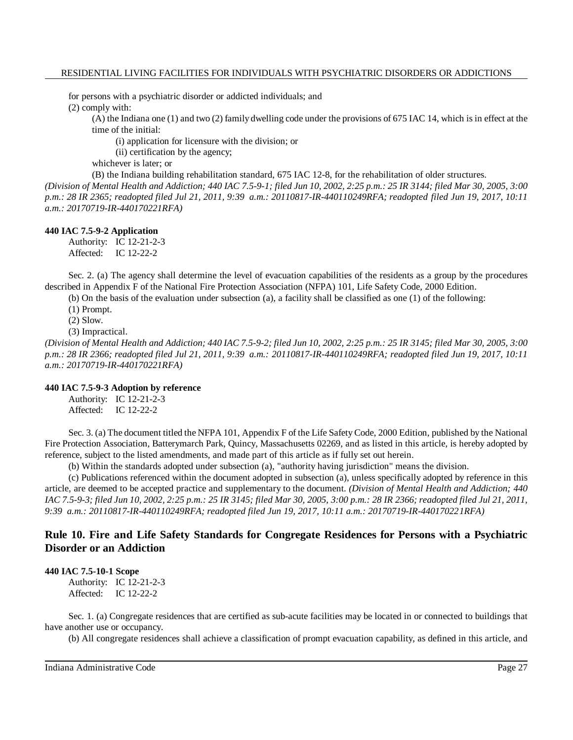for persons with a psychiatric disorder or addicted individuals; and (2) comply with:

(A) the Indiana one (1) and two (2) family dwelling code under the provisions of 675 IAC 14, which is in effect at the time of the initial:

(i) application for licensure with the division; or

(ii) certification by the agency;

whichever is later; or

(B) the Indiana building rehabilitation standard, 675 IAC 12-8, for the rehabilitation of older structures.

(Division of Mental Health and Addiction; 440 IAC 7.5-9-1; filed Jun 10, 2002, 2:25 p.m.: 25 IR 3144; filed Mar 30, 2005, 3:00 *p.m.: 28 IR 2365; readopted filed Jul 21, 2011, 9:39 a.m.: 20110817-IR-440110249RFA; readopted filed Jun 19, 2017, 10:11 a.m.: 20170719-IR-440170221RFA)*

#### **440 IAC 7.5-9-2 Application**

Authority: IC 12-21-2-3 Affected: IC 12-22-2

Sec. 2. (a) The agency shall determine the level of evacuation capabilities of the residents as a group by the procedures described in Appendix F of the National Fire Protection Association (NFPA) 101, Life Safety Code, 2000 Edition.

(b) On the basis of the evaluation under subsection (a), a facility shall be classified as one (1) of the following:

(1) Prompt.

(2) Slow.

(3) Impractical.

(Division of Mental Health and Addiction; 440 IAC 7.5-9-2; filed Jun 10, 2002, 2:25 p.m.: 25 IR 3145; filed Mar 30, 2005, 3:00 *p.m.: 28 IR 2366; readopted filed Jul 21, 2011, 9:39 a.m.: 20110817-IR-440110249RFA; readopted filed Jun 19, 2017, 10:11 a.m.: 20170719-IR-440170221RFA)*

# **440 IAC 7.5-9-3 Adoption by reference**

Authority: IC 12-21-2-3 Affected: IC 12-22-2

Sec. 3. (a) The document titled the NFPA 101, Appendix F of the Life Safety Code, 2000 Edition, published by the National Fire Protection Association, Batterymarch Park, Quincy, Massachusetts 02269, and as listed in this article, is hereby adopted by reference, subject to the listed amendments, and made part of this article as if fully set out herein.

(b) Within the standards adopted under subsection (a), "authority having jurisdiction" means the division.

(c) Publications referenced within the document adopted in subsection (a), unless specifically adopted by reference in this article, are deemed to be accepted practice and supplementary to the document. *(Division of Mental Health and Addiction; 440* IAC 7.5-9-3; filed Jun 10, 2002, 2:25 p.m.: 25 IR 3145; filed Mar 30, 2005, 3:00 p.m.: 28 IR 2366; readopted filed Jul 21, 2011, *9:39 a.m.: 20110817-IR-440110249RFA; readopted filed Jun 19, 2017, 10:11 a.m.: 20170719-IR-440170221RFA)*

# **Rule 10. Fire and Life Safety Standards for Congregate Residences for Persons with a Psychiatric Disorder or an Addiction**

# **440 IAC 7.5-10-1 Scope**

Authority: IC 12-21-2-3 Affected: IC 12-22-2

Sec. 1. (a) Congregate residences that are certified as sub-acute facilities may be located in or connected to buildings that have another use or occupancy.

(b) All congregate residences shall achieve a classification of prompt evacuation capability, as defined in this article, and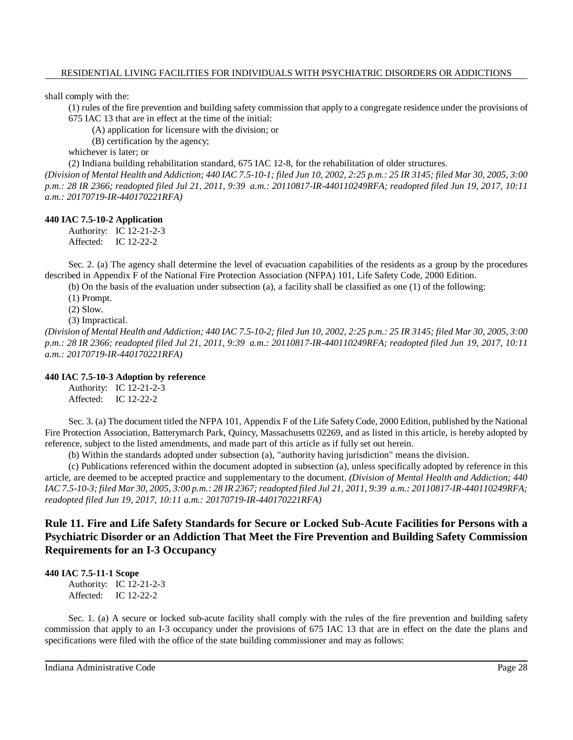shall comply with the:

(1) rules of the fire prevention and building safety commission that apply to a congregate residence under the provisions of 675 IAC 13 that are in effect at the time of the initial:

(A) application for licensure with the division; or

(B) certification by the agency;

whichever is later; or

(2) Indiana building rehabilitation standard, 675 IAC 12-8, for the rehabilitation of older structures.

(Division of Mental Health and Addiction; 440 IAC 7.5-10-1; filed Jun 10, 2002, 2:25 p.m.: 25 IR 3145; filed Mar 30, 2005, 3:00 *p.m.: 28 IR 2366; readopted filed Jul 21, 2011, 9:39 a.m.: 20110817-IR-440110249RFA; readopted filed Jun 19, 2017, 10:11 a.m.: 20170719-IR-440170221RFA)*

#### **440 IAC 7.5-10-2 Application**

Authority: IC 12-21-2-3 Affected: IC 12-22-2

Sec. 2. (a) The agency shall determine the level of evacuation capabilities of the residents as a group by the procedures described in Appendix F of the National Fire Protection Association (NFPA) 101, Life Safety Code, 2000 Edition.

(b) On the basis of the evaluation under subsection (a), a facility shall be classified as one (1) of the following:

(1) Prompt.

(2) Slow.

(3) Impractical.

(Division of Mental Health and Addiction; 440 IAC 7.5-10-2; filed Jun 10, 2002, 2:25 p.m.: 25 IR 3145; filed Mar 30, 2005, 3:00 *p.m.: 28 IR 2366; readopted filed Jul 21, 2011, 9:39 a.m.: 20110817-IR-440110249RFA; readopted filed Jun 19, 2017, 10:11 a.m.: 20170719-IR-440170221RFA)*

# **440 IAC 7.5-10-3 Adoption by reference**

Authority: IC 12-21-2-3 Affected: IC 12-22-2

Sec. 3. (a) The document titled the NFPA 101, Appendix F of the Life SafetyCode, 2000 Edition, published by the National Fire Protection Association, Batterymarch Park, Quincy, Massachusetts 02269, and as listed in this article, is hereby adopted by reference, subject to the listed amendments, and made part of this article as if fully set out herein.

(b) Within the standards adopted under subsection (a), "authority having jurisdiction" means the division.

(c) Publications referenced within the document adopted in subsection (a), unless specifically adopted by reference in this article, are deemed to be accepted practice and supplementary to the document. *(Division of Mental Health and Addiction; 440* IAC 7.5-10-3; filed Mar 30, 2005, 3:00 p.m.: 28 IR 2367; readopted filed Jul 21, 2011, 9:39 a.m.: 20110817-IR-440110249RFA; *readopted filed Jun 19, 2017, 10:11 a.m.: 20170719-IR-440170221RFA)*

**Rule 11. Fire and Life Safety Standards for Secure or Locked Sub-Acute Facilities for Persons with a Psychiatric Disorder or an Addiction That Meet the Fire Prevention and Building Safety Commission Requirements for an I-3 Occupancy**

#### **440 IAC 7.5-11-1 Scope**

Authority: IC 12-21-2-3 Affected: IC 12-22-2

Sec. 1. (a) A secure or locked sub-acute facility shall comply with the rules of the fire prevention and building safety commission that apply to an I-3 occupancy under the provisions of 675 IAC 13 that are in effect on the date the plans and specifications were filed with the office of the state building commissioner and may as follows: